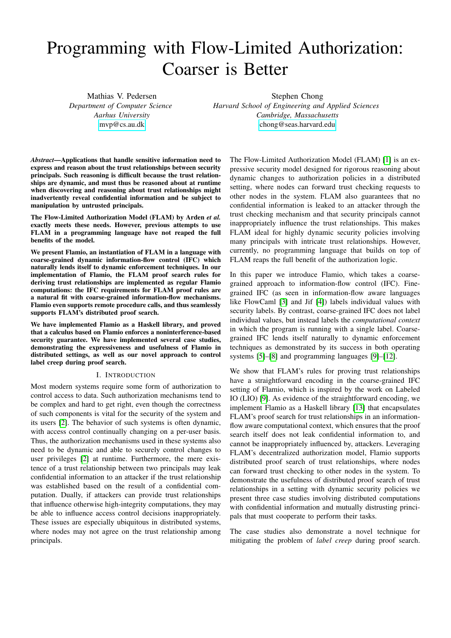# Programming with Flow-Limited Authorization: Coarser is Better

Mathias V. Pedersen *Department of Computer Science Aarhus University* [mvp@cs.au.dk](mailto:mvp@cs.au.dk)

Stephen Chong

*Harvard School of Engineering and Applied Sciences Cambridge, Massachusetts* [chong@seas.harvard.edu](mailto:chong@seas.harvard.edu)

*Abstract*—Applications that handle sensitive information need to express and reason about the trust relationships between security principals. Such reasoning is difficult because the trust relationships are dynamic, and must thus be reasoned about at runtime when discovering and reasoning about trust relationships might inadvertently reveal confidential information and be subject to manipulation by untrusted principals.

The Flow-Limited Authorization Model (FLAM) by Arden *et al.* exactly meets these needs. However, previous attempts to use FLAM in a programming language have not reaped the full benefits of the model.

We present Flamio, an instantiation of FLAM in a language with coarse-grained dynamic information-flow control (IFC) which naturally lends itself to dynamic enforcement techniques. In our implementation of Flamio, the FLAM proof search rules for deriving trust relationships are implemented as regular Flamio computations: the IFC requirements for FLAM proof rules are a natural fit with coarse-grained information-flow mechanisms. Flamio even supports remote procedure calls, and thus seamlessly supports FLAM's distributed proof search.

We have implemented Flamio as a Haskell library, and proved that a calculus based on Flamio enforces a noninterference-based security guarantee. We have implemented several case studies, demonstrating the expressiveness and usefulness of Flamio in distributed settings, as well as our novel approach to control label creep during proof search.

# I. INTRODUCTION

Most modern systems require some form of authorization to control access to data. Such authorization mechanisms tend to be complex and hard to get right, even though the correctness of such components is vital for the security of the system and its users [\[2\]](#page-14-0). The behavior of such systems is often dynamic, with access control continually changing on a per-user basis. Thus, the authorization mechanisms used in these systems also need to be dynamic and able to securely control changes to user privileges [\[2\]](#page-14-0) at runtime. Furthermore, the mere existence of a trust relationship between two principals may leak confidential information to an attacker if the trust relationship was established based on the result of a confidential computation. Dually, if attackers can provide trust relationships that influence otherwise high-integrity computations, they may be able to influence access control decisions inappropriately. These issues are especially ubiquitous in distributed systems, where nodes may not agree on the trust relationship among principals.

The Flow-Limited Authorization Model (FLAM) [\[1\]](#page-14-1) is an expressive security model designed for rigorous reasoning about dynamic changes to authorization policies in a distributed setting, where nodes can forward trust checking requests to other nodes in the system. FLAM also guarantees that no confidential information is leaked to an attacker through the trust checking mechanism and that security principals cannot inappropriately influence the trust relationships. This makes FLAM ideal for highly dynamic security policies involving many principals with intricate trust relationships. However, currently, no programming language that builds on top of FLAM reaps the full benefit of the authorization logic.

In this paper we introduce Flamio, which takes a coarsegrained approach to information-flow control (IFC). Finegrained IFC (as seen in information-flow aware languages like FlowCaml [\[3\]](#page-14-2) and Jif [\[4\]](#page-14-3)) labels individual values with security labels. By contrast, coarse-grained IFC does not label individual values, but instead labels the *computational context* in which the program is running with a single label. Coarsegrained IFC lends itself naturally to dynamic enforcement techniques as demonstrated by its success in both operating systems [\[5\]](#page-14-4)–[\[8\]](#page-15-0) and programming languages [\[9\]](#page-15-1)–[\[12\]](#page-15-2).

We show that FLAM's rules for proving trust relationships have a straightforward encoding in the coarse-grained IFC setting of Flamio, which is inspired by the work on Labeled IO (LIO) [\[9\]](#page-15-1). As evidence of the straightforward encoding, we implement Flamio as a Haskell library [\[13\]](#page-15-3) that encapsulates FLAM's proof search for trust relationships in an informationflow aware computational context, which ensures that the proof search itself does not leak confidential information to, and cannot be inappropriately influenced by, attackers. Leveraging FLAM's decentralized authorization model, Flamio supports distributed proof search of trust relationships, where nodes can forward trust checking to other nodes in the system. To demonstrate the usefulness of distributed proof search of trust relationships in a setting with dynamic security policies we present three case studies involving distributed computations with confidential information and mutually distrusting principals that must cooperate to perform their tasks.

The case studies also demonstrate a novel technique for mitigating the problem of *label creep* during proof search.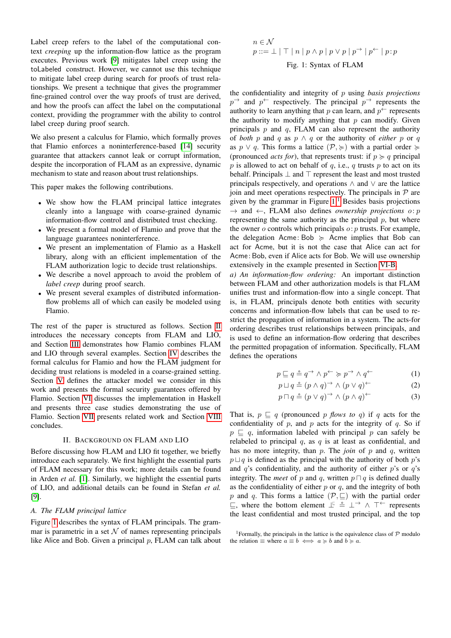Label creep refers to the label of the computational context *creeping* up the information-flow lattice as the program executes. Previous work [\[9\]](#page-15-1) mitigates label creep using the toLabeled construct. However, we cannot use this technique to mitigate label creep during search for proofs of trust relationships. We present a technique that gives the programmer fine-grained control over the way proofs of trust are derived, and how the proofs can affect the label on the computational context, providing the programmer with the ability to control label creep during proof search.

We also present a calculus for Flamio, which formally proves that Flamio enforces a noninterference-based [\[14\]](#page-15-4) security guarantee that attackers cannot leak or corrupt information, despite the incorporation of FLAM as an expressive, dynamic mechanism to state and reason about trust relationships.

This paper makes the following contributions.

- We show how the FLAM principal lattice integrates cleanly into a language with coarse-grained dynamic information-flow control and distributed trust checking.
- We present a formal model of Flamio and prove that the language guarantees noninterference.
- We present an implementation of Flamio as a Haskell library, along with an efficient implementation of the FLAM authorization logic to decide trust relationships.
- We describe a novel approach to avoid the problem of *label creep* during proof search.
- We present several examples of distributed informationflow problems all of which can easily be modeled using Flamio.

The rest of the paper is structured as follows. Section [II](#page-1-0) introduces the necessary concepts from FLAM and LIO, and Section [III](#page-2-0) demonstrates how Flamio combines FLAM and LIO through several examples. Section [IV](#page-4-0) describes the formal calculus for Flamio and how the FLAM judgment for deciding trust relations is modeled in a coarse-grained setting. Section [V](#page-9-0) defines the attacker model we consider in this work and presents the formal security guarantees offered by Flamio. Section [VI](#page-12-0) discusses the implementation in Haskell and presents three case studies demonstrating the use of Flamio. Section [VII](#page-13-0) presents related work and Section [VIII](#page-14-5) concludes.

### II. BACKGROUND ON FLAM AND LIO

<span id="page-1-0"></span>Before discussing how FLAM and LIO fit together, we briefly introduce each separately. We first highlight the essential parts of FLAM necessary for this work; more details can be found in Arden *et al.* [\[1\]](#page-14-1). Similarly, we highlight the essential parts of LIO, and additional details can be found in Stefan *et al.* [\[9\]](#page-15-1).

### *A. The FLAM principal lattice*

Figure [1](#page-1-1) describes the syntax of FLAM principals. The grammar is parametric in a set  $N$  of names representing principals like Alice and Bob. Given a principal  $p$ , FLAM can talk about

<span id="page-1-1"></span>
$$
n \in \mathcal{N}
$$
  

$$
p ::= \perp | \top | n | p \land p | p \lor p | p \rightarrow | p \leftarrow | p : p
$$
  
Fig. 1: Syntax of FLAM

the confidentiality and integrity of p using *basis projections*  $p^{\rightarrow}$  and  $p^{\leftarrow}$  respectively. The principal  $p^{\rightarrow}$  represents the authority to learn anything that p can learn, and  $p^{\leftarrow}$  represents the authority to modify anything that  $p$  can modify. Given principals  $p$  and  $q$ , FLAM can also represent the authority of *both* p and q as  $p \wedge q$  or the authority of *either* p or q as  $p \vee q$ . This forms a lattice  $(\mathcal{P}, \geq)$  with a partial order  $\succeq$ (pronounced *acts for*), that represents trust: if  $p \geq q$  principal p is allowed to act on behalf of q, i.e., q trusts p to act on its behalf. Principals  $\perp$  and  $\top$  represent the least and most trusted principals respectively, and operations ∧ and ∨ are the lattice join and meet operations respectively. The principals in  $P$  are given by the grammar in Figure  $1<sup>1</sup>$  $1<sup>1</sup>$  Besides basis projections → and ←, FLAM also defines *ownership projections* o: p representing the same authority as the principal  $p$ , but where the owner  $o$  controls which principals  $o: p$  trusts. For example, the delegation Acme: Bob  $\succeq$  Acme implies that Bob can act for Acme, but it is not the case that Alice can act for Acme : Bob, even if Alice acts for Bob. We will use ownership extensively in the example presented in Section [VI-B.](#page-13-1)

*a) An information-flow ordering:* An important distinction between FLAM and other authorization models is that FLAM unifies trust and information-flow into a single concept. That is, in FLAM, principals denote both entities with security concerns and information-flow labels that can be used to restrict the propagation of information in a system. The acts-for ordering describes trust relationships between principals, and is used to define an information-flow ordering that describes the permitted propagation of information. Specifically, FLAM defines the operations

$$
p \sqsubseteq q \stackrel{\circ}{=} q \stackrel{\rightarrow}{\rightarrow} \wedge p \stackrel{\leftarrow}{\rightarrow} p \stackrel{\rightarrow}{\rightarrow} \wedge q \stackrel{\leftarrow}{\rightarrow} \tag{1}
$$

<span id="page-1-3"></span>
$$
p \sqcup q \triangleq (p \land q) \rightarrow \land (p \lor q) \leftarrow
$$
 (2)

$$
p \sqcap q \triangleq (p \lor q) \rightarrow \land (p \land q) \leftarrow
$$
 (3)

That is,  $p \sqsubseteq q$  (pronounced p *flows to q*) if q acts for the confidentiality of  $p$ , and  $p$  acts for the integrity of  $q$ . So if  $p \subseteq q$ , information labeled with principal p can safely be relabeled to principal  $q$ , as  $q$  is at least as confidential, and has no more integrity, than p. The *join* of p and q, written  $p \sqcup q$  is defined as the principal with the authority of both p's and  $q$ 's confidentiality, and the authority of either  $p$ 's or  $q$ 's integrity. The *meet* of p and q, written  $p \sqcap q$  is defined dually as the confidentiality of either  $p$  or  $q$ , and the integrity of both p and q. This forms a lattice  $(\mathcal{P}, \sqsubseteq)$  with the partial order  $\sqsubseteq$ , where the bottom element  $\perp \subseteq \cong \perp \rightarrow \wedge \top \leftarrow$  represents the least confidential and most trusted principal, and the top

<span id="page-1-2"></span><sup>&</sup>lt;sup>1</sup>Formally, the principals in the lattice is the equivalence class of  $P$  modulo the relation  $\equiv$  where  $a \equiv b \iff a \succcurlyeq b$  and  $b \succcurlyeq a$ .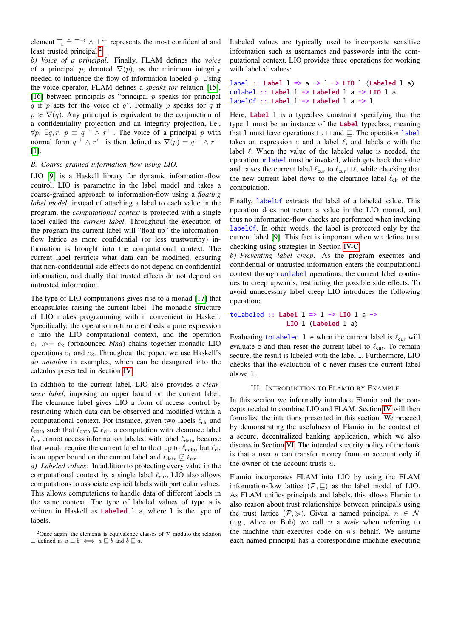element  $\top$ <sub>⊑</sub>  $\stackrel{\circ}{=}$   $\top$   $\rightarrow$   $\land$   $\bot$   $\leftarrow$  represents the most confidential and least trusted principal.<sup>[2](#page-2-1)</sup>

*b) Voice of a principal:* Finally, FLAM defines the *voice* of a principal p, denoted  $\nabla(p)$ , as the minimum integrity needed to influence the flow of information labeled  $p$ . Using the voice operator, FLAM defines a *speaks for* relation [\[15\]](#page-15-5), [\[16\]](#page-15-6) between principals as "principal  $p$  speaks for principal q if p acts for the voice of q". Formally p speaks for q if  $p \geq \nabla(q)$ . Any principal is equivalent to the conjunction of a confidentiality projection and an integrity projection, i.e.,  $\forall p$ .  $\exists q, r$ .  $p \equiv q \rightarrow \wedge r^{\leftarrow}$ . The voice of a principal p with normal form  $q \to \wedge r^+$  is then defined as  $\nabla(p) = q^+ \wedge r^+$ [\[1\]](#page-14-1).

# *B. Coarse-grained information flow using LIO.*

LIO [\[9\]](#page-15-1) is a Haskell library for dynamic information-flow control. LIO is parametric in the label model and takes a coarse-grained approach to information-flow using a *floating label model*: instead of attaching a label to each value in the program, the *computational context* is protected with a single label called the *current label*. Throughout the execution of the program the current label will "float up" the informationflow lattice as more confidential (or less trustworthy) information is brought into the computational context. The current label restricts what data can be modified, ensuring that non-confidential side effects do not depend on confidential information, and dually that trusted effects do not depend on untrusted information.

The type of LIO computations gives rise to a monad [\[17\]](#page-15-7) that encapsulates raising the current label. The monadic structure of LIO makes programming with it convenient in Haskell. Specifically, the operation return  $e$  embeds a pure expression e into the LIO computational context, and the operation  $e_1 \gg = e_2$  (pronounced *bind*) chains together monadic LIO operations  $e_1$  and  $e_2$ . Throughout the paper, we use Haskell's *do notation* in examples, which can be desugared into the calculus presented in Section [IV.](#page-4-0)

In addition to the current label, LIO also provides a *clearance label*, imposing an upper bound on the current label. The clearance label gives LIO a form of access control by restricting which data can be observed and modified within a computational context. For instance, given two labels  $\ell_{\text{clr}}$  and  $\ell_{\text{data}}$  such that  $\ell_{\text{data}} \not\sqsubseteq \ell_{\text{clr}}$ , a computation with clearance label  $\ell_{\text{clr}}$  cannot access information labeled with label  $\ell_{\text{data}}$  because that would require the current label to float up to  $\ell_{\text{data}}$ , but  $\ell_{\text{clr}}$ is an upper bound on the current label and  $\ell_{\text{data}} \not\sqsubseteq \ell_{\text{clr}}$ .

*a) Labeled values:* In addition to protecting every value in the computational context by a single label  $\ell_{\text{cur}}$ , LIO also allows computations to associate explicit labels with particular values. This allows computations to handle data of different labels in the same context. The type of labeled values of type a is written in Haskell as **Labeled** l a, where l is the type of labels.

Labeled values are typically used to incorporate sensitive information such as usernames and passwords into the computational context. LIO provides three operations for working with labeled values:

```
label :: Label l => a -> l -> LIO l (Labeled l a)
unlabel :: Label l => Labeled l a -> LIO l a
labelOf :: Label l => Labeled l a -> l
```
Here, **Label** 1 is a typeclass constraint specifying that the type l must be an instance of the **Label** typeclass, meaning that 1 must have operations  $\sqcup$ ,  $\sqcap$  and  $\sqsubseteq$ . The operation label takes an expression e and a label  $\ell$ , and labels e with the label  $\ell$ . When the value of the labeled value is needed, the operation unlabel must be invoked, which gets back the value and raises the current label  $\ell_{\text{cur}}$  to  $\ell_{\text{cur}} \sqcup \ell$ , while checking that the new current label flows to the clearance label  $\ell_{\text{clr}}$  of the computation.

Finally, labelOf extracts the label of a labeled value. This operation does not return a value in the LIO monad, and thus no information-flow checks are performed when invoking labelOf. In other words, the label is protected only by the current label [\[9\]](#page-15-1). This fact is important when we define trust checking using strategies in Section [IV-C.](#page-7-0)

*b) Preventing label creep:* As the program executes and confidential or untrusted information enters the computational context through unlabel operations, the current label continues to creep upwards, restricting the possible side effects. To avoid unnecessary label creep LIO introduces the following operation:

toLabeled **:: Label** l **=>** l **-> LIO** l a **-> LIO** l (**Labeled** l a)

Evaluating to Labeled 1 e when the current label is  $\ell_{\text{cur}}$  will evaluate e and then reset the current label to  $\ell_{\text{cur}}$ . To remain secure, the result is labeled with the label l. Furthermore, LIO checks that the evaluation of e never raises the current label above l.

# III. INTRODUCTION TO FLAMIO BY EXAMPLE

<span id="page-2-0"></span>In this section we informally introduce Flamio and the concepts needed to combine LIO and FLAM. Section [IV](#page-4-0) will then formalize the intuitions presented in this section. We proceed by demonstrating the usefulness of Flamio in the context of a secure, decentralized banking application, which we also discuss in Section [VI.](#page-12-0) The intended security policy of the bank is that a user  $u$  can transfer money from an account only if the owner of the account trusts  $u$ .

Flamio incorporates FLAM into LIO by using the FLAM information-flow lattice  $(\mathcal{P}, \sqsubseteq)$  as the label model of LIO. As FLAM unifies principals and labels, this allows Flamio to also reason about trust relationships between principals using the trust lattice  $(\mathcal{P}, \geqslant)$ . Given a named principal  $n \in \mathcal{N}$ (e.g., Alice or Bob) we call n a *node* when referring to the machine that executes code on  $n$ 's behalf. We assume each named principal has a corresponding machine executing

<span id="page-2-1"></span><sup>&</sup>lt;sup>2</sup>Once again, the elements is equivalence classes of  $P$  modulo the relation  $\equiv$  defined as  $a \equiv b \iff a \sqsubseteq b$  and  $b \sqsubseteq a$ .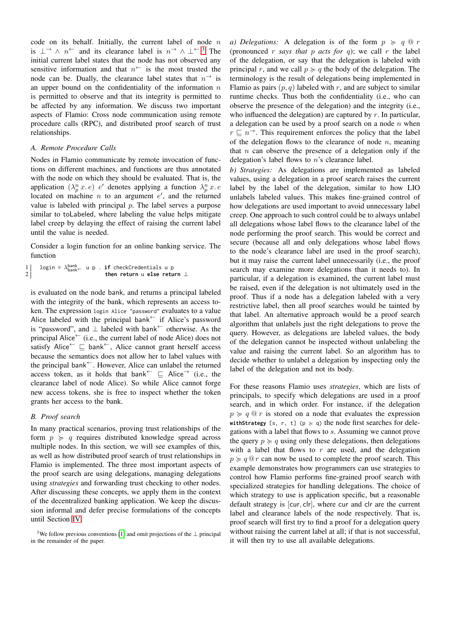code on its behalf. Initially, the current label of node  $n$ is  $\perp \rightarrow \wedge n^{\leftarrow}$  and its clearance label is  $n^{\rightarrow} \wedge \perp^{\leftarrow}$ .<sup>[3](#page-3-0)</sup> The initial current label states that the node has not observed any sensitive information and that  $n^{\leftarrow}$  is the most trusted the node can be. Dually, the clearance label states that  $n^{\rightarrow}$  is an upper bound on the confidentiality of the information  $n$ is permitted to observe and that its integrity is permitted to be affected by any information. We discuss two important aspects of Flamio: Cross node communication using remote procedure calls (RPC), and distributed proof search of trust relationships.

# *A. Remote Procedure Calls*

Nodes in Flamio communicate by remote invocation of functions on different machines, and functions are thus annotated with the node on which they should be evaluated. That is, the application  $(\lambda_p^n x.e)$  *e'* denotes applying a function  $\lambda_p^n x.e$ located on machine  $n$  to an argument  $e'$ , and the returned value is labeled with principal  $p$ . The label serves a purpose similar to toLabeled, where labeling the value helps mitigate label creep by delaying the effect of raising the current label until the value is needed.

Consider a login function for an online banking service. The function

$$
1 \qquad \text{login} = \lambda_{\text{bank}}^{\text{bank}} \qquad \text{u p} \qquad \text{if checkCredentials u p} \qquad \text{then return u else return } \perp
$$

is evaluated on the node bank, and returns a principal labeled with the integrity of the bank, which represents an access token. The expression login Alice "password" evaluates to a value Alice labeled with the principal bank<sup>←</sup> if Alice's password is "password", and  $\perp$  labeled with bank<sup>←</sup> otherwise. As the principal Alice  $\leftarrow$  (i.e., the current label of node Alice) does not satisfy Alice<sup>←</sup>  $\sqsubseteq$  bank<sup>←</sup>, Alice cannot grant herself access because the semantics does not allow her to label values with the principal bank<sup>←</sup>. However, Alice can unlabel the returned access token, as it holds that bank  $\vdash \sqsubseteq$  Alice  $\rightarrow$  (i.e., the clearance label of node Alice). So while Alice cannot forge new access tokens, she is free to inspect whether the token grants her access to the bank.

# *B. Proof search*

In many practical scenarios, proving trust relationships of the form  $p \geq q$  requires distributed knowledge spread across multiple nodes. In this section, we will see examples of this, as well as how distributed proof search of trust relationships in Flamio is implemented. The three most important aspects of the proof search are using delegations, managing delegations using *strategies* and forwarding trust checking to other nodes. After discussing these concepts, we apply them in the context of the decentralized banking application. We keep the discussion informal and defer precise formulations of the concepts until Section [IV.](#page-4-0)

*a) Delegations:* A delegation is of the form  $p \ge q \text{ } Q \rceil r$ (pronounced  $r$  *says that*  $p$  *acts for*  $q$ ); we call  $r$  the label of the delegation, or say that the delegation is labeled with principal r, and we call  $p \geq q$  the body of the delegation. The terminology is the result of delegations being implemented in Flamio as pairs  $(p, q)$  labeled with r, and are subject to similar runtime checks. Thus both the confidentiality (i.e., who can observe the presence of the delegation) and the integrity (i.e., who influenced the delegation) are captured by  $r$ . In particular, a delegation can be used by a proof search on a node  $n$  when  $r \nightharpoonup n^{\rightarrow}$ . This requirement enforces the policy that the label of the delegation flows to the clearance of node  $n$ , meaning that  $n$  can observe the presence of a delegation only if the delegation's label flows to n's clearance label.

*b) Strategies:* As delegations are implemented as labeled values, using a delegation in a proof search raises the current label by the label of the delegation, similar to how LIO unlabels labeled values. This makes fine-grained control of how delegations are used important to avoid unnecessary label creep. One approach to such control could be to always unlabel all delegations whose label flows to the clearance label of the node performing the proof search. This would be correct and secure (because all and only delegations whose label flows to the node's clearance label are used in the proof search), but it may raise the current label unnecessarily (i.e., the proof search may examine more delegations than it needs to). In particular, if a delegation is examined, the current label must be raised, even if the delegation is not ultimately used in the proof. Thus if a node has a delegation labeled with a very restrictive label, then all proof searches would be tainted by that label. An alternative approach would be a proof search algorithm that unlabels just the right delegations to prove the query. However, as delegations are labeled values, the body of the delegation cannot be inspected without unlabeling the value and raising the current label. So an algorithm has to decide whether to unlabel a delegation by inspecting only the label of the delegation and not its body.

For these reasons Flamio uses *strategies*, which are lists of principals, to specify which delegations are used in a proof search, and in which order. For instance, if the delegation  $p \geq q \, \Omega \, r$  is stored on a node that evaluates the expression withStrategy [s, r, t] ( $p \ge q$ ) the node first searches for delegations with a label that flows to s. Assuming we cannot prove the query  $p \geq q$  using only these delegations, then delegations with a label that flows to  $r$  are used, and the delegation  $p \geq q \, \mathcal{Q} r$  can now be used to complete the proof search. This example demonstrates how programmers can use strategies to control how Flamio performs fine-grained proof search with specialized strategies for handling delegations. The choice of which strategy to use is application specific, but a reasonable default strategy is [cur, clr], where cur and clr are the current label and clearance labels of the node respectively. That is, proof search will first try to find a proof for a delegation query without raising the current label at all; if that is not successful, it will then try to use all available delegations.

<span id="page-3-0"></span><sup>3</sup>We follow previous conventions [\[1\]](#page-14-1) and omit projections of the ⊥ principal in the remainder of the paper.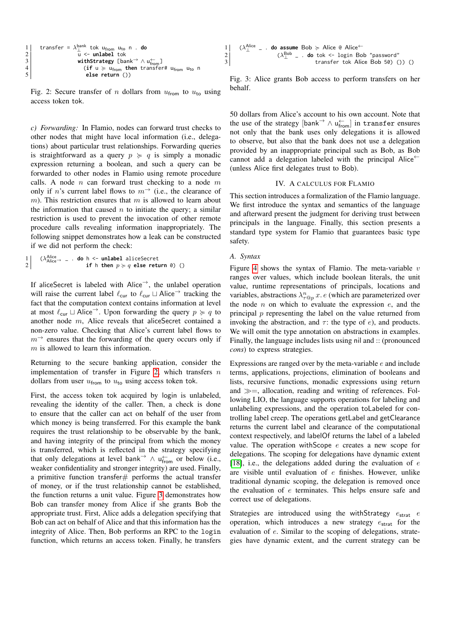<span id="page-4-1"></span>
$$
\begin{array}{c}\n1 \\
2 \\
2 \\
3 \\
4 \\
5\n\end{array}\n\quad\n\begin{array}{c}\n\text{transfer} = \lambda_{\perp}^{\text{bank}} \text{ tok } u_{\text{from } u_{\text{to}}} \text{ n. do} \\
\downarrow \text{ c- unlabel to} \\
\text{ with Strategy [bank} \rightarrow \wedge u_{\text{from}}^{\leftarrow}] \\
\text{ (if } u \succcurlyeq u_{\text{from } \text{then } \text{transfer}} \text{ # } u_{\text{from } u_{\text{to } n} \\
\text{ else return }())\n\end{array}
$$

Fig. 2: Secure transfer of n dollars from  $u_{\text{from}}$  to  $u_{\text{to}}$  using access token tok.

*c) Forwarding:* In Flamio, nodes can forward trust checks to other nodes that might have local information (i.e., delegations) about particular trust relationships. Forwarding queries is straightforward as a query  $p \geq q$  is simply a monadic expression returning a boolean, and such a query can be forwarded to other nodes in Flamio using remote procedure calls. A node  $n$  can forward trust checking to a node  $m$ only if n's current label flows to  $m \rightarrow$  (i.e., the clearance of m). This restriction ensures that m is allowed to learn about the information that caused  $n$  to initiate the query; a similar restriction is used to prevent the invocation of other remote procedure calls revealing information inappropriately. The following snippet demonstrates how a leak can be constructed if we did not perform the check:

$$
\begin{array}{ll}\n1 & (\lambda_{Alice \rightarrow -}^{\text{Alice}} - \text{ do } h \leftarrow \text{ unlabel aliceSecret} \\
2 & \text{if } h \text{ then } p \succcurlyeq q \text{ else return } \emptyset) \n\end{array}
$$

If aliceSecret is labeled with Alice<sup>→</sup>, the unlabel operation will raise the current label  $\ell_{\text{cur}}$  to  $\ell_{\text{cur}} \sqcup$  Alice<sup>→</sup> tracking the fact that the computation context contains information at level at most  $\ell_{\text{cur}} \sqcup$  Alice<sup>→</sup>. Upon forwarding the query  $p \succcurlyeq q$  to another node m, Alice reveals that aliceSecret contained a non-zero value. Checking that Alice's current label flows to  $m^{\rightarrow}$  ensures that the forwarding of the query occurs only if m is allowed to learn this information.

Returning to the secure banking application, consider the implementation of transfer in Figure [2,](#page-4-1) which transfers  $n$ dollars from user  $u_{\text{from}}$  to  $u_{\text{to}}$  using access token tok.

First, the access token tok acquired by login is unlabeled, revealing the identity of the caller. Then, a check is done to ensure that the caller can act on behalf of the user from which money is being transferred. For this example the bank requires the trust relationship to be observable by the bank, and having integrity of the principal from which the money is transferred, which is reflected in the strategy specifying that only delegations at level bank<sup>→</sup>  $\land$  u<sup>←</sup> or below (i.e., weaker confidentiality and stronger integrity) are used. Finally, a primitive function transfer $#$  performs the actual transfer of money, or if the trust relationship cannot be established, the function returns a unit value. Figure [3](#page-4-2) demonstrates how Bob can transfer money from Alice if she grants Bob the appropriate trust. First, Alice adds a delegation specifying that Bob can act on behalf of Alice and that this information has the integrity of Alice. Then, Bob performs an RPC to the login function, which returns an access token. Finally, he transfers

<span id="page-4-2"></span>

Fig. 3: Alice grants Bob access to perform transfers on her behalf.

50 dollars from Alice's account to his own account. Note that the use of the strategy  $[\text{bank}^{\rightarrow} \land \mathsf{u}_{\text{from}}^{\leftarrow}]$  in transfer ensures not only that the bank uses only delegations it is allowed to observe, but also that the bank does not use a delegation provided by an inappropriate principal such as Bob, as Bob cannot add a delegation labeled with the principal Alice<sup>←</sup> (unless Alice first delegates trust to Bob).

#### IV. A CALCULUS FOR FLAMIO

<span id="page-4-0"></span>This section introduces a formalization of the Flamio language. We first introduce the syntax and semantics of the language and afterward present the judgment for deriving trust between principals in the language. Finally, this section presents a standard type system for Flamio that guarantees basic type safety.

## *A. Syntax*

Figure [4](#page-5-0) shows the syntax of Flamio. The meta-variable  $v$ ranges over values, which include boolean literals, the unit value, runtime representations of principals, locations and variables, abstractions  $\lambda_{\tau \circledcirc p}^n x$ . e (which are parameterized over the node  $n$  on which to evaluate the expression  $e$ , and the principal  $p$  representing the label on the value returned from invoking the abstraction, and  $\tau$ : the type of e), and products. We will omit the type annotation on abstractions in examples. Finally, the language includes lists using nil and :: (pronounced *cons*) to express strategies.

Expressions are ranged over by the meta-variable  $e$  and include terms, applications, projections, elimination of booleans and lists, recursive functions, monadic expressions using return and  $\gg$  =, allocation, reading and writing of references. Following LIO, the language supports operations for labeling and unlabeling expressions, and the operation toLabeled for controlling label creep. The operations getLabel and getClearance returns the current label and clearance of the computational context respectively, and labelOf returns the label of a labeled value. The operation withScope  $e$  creates a new scope for delegations. The scoping for delegations have dynamic extent [\[18\]](#page-15-8), i.e., the delegations added during the evaluation of  $e$ are visible until evaluation of e finishes. However, unlike traditional dynamic scoping, the delegation is removed once the evaluation of  $e$  terminates. This helps ensure safe and correct use of delegations.

Strategies are introduced using the withStrategy  $e_{\text{strat}} e$ operation, which introduces a new strategy  $e_{\text{strat}}$  for the evaluation of e. Similar to the scoping of delegations, strategies have dynamic extent, and the current strategy can be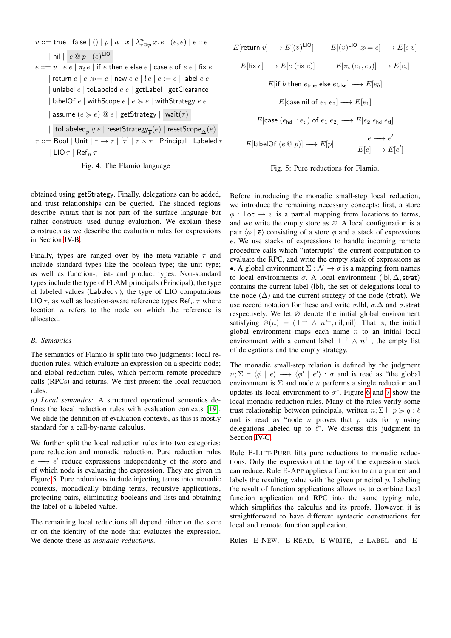<span id="page-5-0"></span> $v ::=$  true  $\mid$  false  $\mid$   $(\mid) \mid p \mid a \mid x \mid \lambda_{\tau @ p}^n$   $x.\,e \mid (e,e) \mid e :: e$ | nil  $\mid e \otimes p \mid (e)^{\text{LIO}}$  $e ::= v \mid e \mid e \mid \pi_i e \mid$  if  $e$  then  $e$  else  $e \mid$  case  $e$  of  $e \mid e \mid$  fix  $e$ | return  $e | e \gg = e |$  new  $e e | | e | e := e |$  label  $e e$ | unlabel  $e \mid$  toLabeled  $e \mid e \mid$  getLabel | getClearance | labelOf  $e$  | withScope  $e | e \succcurlyeq e |$  withStrategy  $e e$ | assume  $(e \succ e) \t@ e$  | getStrategy | wait $(\tau)$  $|\;\;$ toLabeled $_p\; q\; e\;|$  reset ${\sf Strategy}_{\overline{p}}(e)\;|$  reset ${\sf Score}_\Delta(e)$  $\tau ::=$  Bool | Unit  $|\tau \to \tau| [\tau] | \tau \times \tau|$  Principal | Labeled  $\tau$ 

| LIO  $\tau$  | Ref<sub>n</sub>  $\tau$ 



obtained using getStrategy. Finally, delegations can be added, and trust relationships can be queried. The shaded regions describe syntax that is not part of the surface language but rather constructs used during evaluation. We explain these constructs as we describe the evaluation rules for expressions in Section [IV-B.](#page-5-1)

Finally, types are ranged over by the meta-variable  $\tau$  and include standard types like the boolean type; the unit type; as well as function-, list- and product types. Non-standard types include the type of FLAM principals (Principal), the type of labeled values (Labeled  $\tau$ ), the type of LIO computations LIO  $\tau$ , as well as location-aware reference types Ref<sub>n</sub>  $\tau$  where location n refers to the node on which the reference is allocated.

### <span id="page-5-1"></span>*B. Semantics*

The semantics of Flamio is split into two judgments: local reduction rules, which evaluate an expression on a specific node; and global reduction rules, which perform remote procedure calls (RPCs) and returns. We first present the local reduction rules.

*a) Local semantics:* A structured operational semantics defines the local reduction rules with evaluation contexts [\[19\]](#page-15-9). We elide the definition of evaluation contexts, as this is mostly standard for a call-by-name calculus.

We further split the local reduction rules into two categories: pure reduction and monadic reduction. Pure reduction rules  $e \longrightarrow e'$  reduce expressions independently of the store and of which node is evaluating the expression. They are given in Figure [5.](#page-5-2) Pure reductions include injecting terms into monadic contexts, monadically binding terms, recursive applications, projecting pairs, eliminating booleans and lists and obtaining the label of a labeled value.

The remaining local reductions all depend either on the store or on the identity of the node that evaluates the expression. We denote these as *monadic reductions*.

<span id="page-5-2"></span>



Before introducing the monadic small-step local reduction, we introduce the remaining necessary concepts: first, a store  $\phi$ : Loc  $\rightarrow$  v is a partial mapping from locations to terms, and we write the empty store as  $\varnothing$ . A local configuration is a pair  $\langle \phi | \overline{e} \rangle$  consisting of a store  $\phi$  and a stack of expressions  $\overline{e}$ . We use stacks of expressions to handle incoming remote procedure calls which "interrupts" the current computation to evaluate the RPC, and write the empty stack of expressions as •. A global environment  $\Sigma : \mathcal{N} \to \sigma$  is a mapping from names to local environments  $\sigma$ . A local environment (lbl,  $\Delta$ , strat) contains the current label (lbl), the set of delegations local to the node  $(\Delta)$  and the current strategy of the node (strat). We use record notation for these and write  $\sigma$ .lbl,  $\sigma.\Delta$  and  $\sigma$ .strat respectively. We let  $\varnothing$  denote the initial global environment satisfying  $\varnothing(n) = (\perp \rightarrow \wedge n^{\leftarrow}, \text{nil}, \text{nil})$ . That is, the initial global environment maps each name  $n$  to an initial local environment with a current label  $\perp^{\rightarrow} \wedge n^{\leftarrow}$ , the empty list of delegations and the empty strategy.

The monadic small-step relation is defined by the judgment  $n; \Sigma \vdash \langle \phi \mid e \rangle \longrightarrow \langle \phi' \mid e' \rangle : \sigma$  and is read as "the global environment is  $\Sigma$  and node *n* performs a single reduction and updates its local environment to  $\sigma$ ". Figure [6](#page-6-0) and [7](#page-7-1) show the local monadic reduction rules. Many of the rules verify some trust relationship between principals, written  $n; \Sigma \vdash p \succcurlyeq q : \ell$ and is read as "node  $n$  proves that  $p$  acts for  $q$  using delegations labeled up to  $\ell$ ". We discuss this judgment in Section [IV-C.](#page-7-0)

Rule E-LIFT-PURE lifts pure reductions to monadic reductions. Only the expression at the top of the expression stack can reduce. Rule E-APP applies a function to an argument and labels the resulting value with the given principal  $p$ . Labeling the result of function applications allows us to combine local function application and RPC into the same typing rule, which simplifies the calculus and its proofs. However, it is straightforward to have different syntactic constructions for local and remote function application.

Rules E-NEW, E-READ, E-WRITE, E-LABEL and E-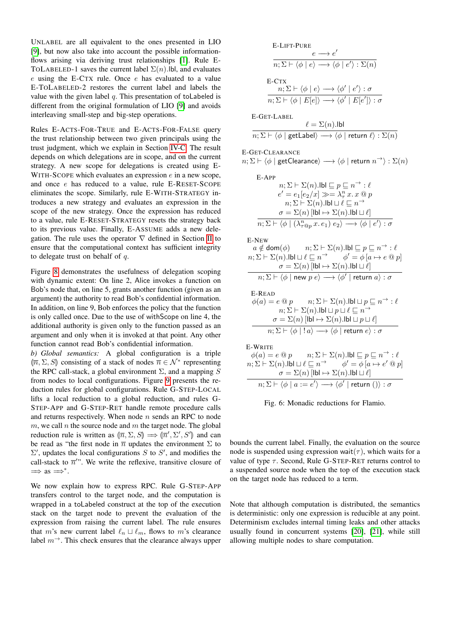UNLABEL are all equivalent to the ones presented in LIO [\[9\]](#page-15-1), but now also take into account the possible informationflows arising via deriving trust relationships [\[1\]](#page-14-1). Rule E-TOLABELED-1 saves the current label  $\Sigma(n)$ .lbl, and evaluates e using the E-CTX rule. Once e has evaluated to a value E-TOLABELED-2 restores the current label and labels the value with the given label  $q$ . This presentation of toLabeled is different from the original formulation of LIO [\[9\]](#page-15-1) and avoids interleaving small-step and big-step operations.

Rules E-ACTS-FOR-TRUE and E-ACTS-FOR-FALSE query the trust relationship between two given principals using the trust judgment, which we explain in Section [IV-C.](#page-7-0) The result depends on which delegations are in scope, and on the current strategy. A new scope for delegations is created using E-WITH-SCOPE which evaluates an expression  $e$  in a new scope, and once e has reduced to a value, rule E-RESET-SCOPE eliminates the scope. Similarly, rule E-WITH-STRATEGY introduces a new strategy and evaluates an expression in the scope of the new strategy. Once the expression has reduced to a value, rule E-RESET-STRATEGY resets the strategy back to its previous value. Finally, E-ASSUME adds a new delegation. The rule uses the operator  $\nabla$  defined in Section [II](#page-1-0) to ensure that the computational context has sufficient integrity to delegate trust on behalf of  $q$ .

Figure [8](#page-7-2) demonstrates the usefulness of delegation scoping with dynamic extent: On line 2, Alice invokes a function on Bob's node that, on line 5, grants another function (given as an argument) the authority to read Bob's confidential information. In addition, on line 9, Bob enforces the policy that the function is only called once. Due to the use of withScope on line 4, the additional authority is given only to the function passed as an argument and only when it is invoked at that point. Any other function cannot read Bob's confidential information.

*b) Global semantics:* A global configuration is a triple  $[\overline{n}, \Sigma, S]$  consisting of a stack of nodes  $\overline{n} \in \mathcal{N}^*$  representing<br>the BBC call stack a global environment  $\Sigma$  and a manning S the RPC call-stack, a global environment  $\Sigma$ , and a mapping S from nodes to local configurations. Figure [9](#page-7-3) presents the reduction rules for global configurations. Rule G-STEP-LOCAL lifts a local reduction to a global reduction, and rules G-STEP-APP and G-STEP-RET handle remote procedure calls and returns respectively. When node  $n$  sends an RPC to node  $m$ , we call  $n$  the source node and  $m$  the target node. The global reduction rule is written as  $(\overline{n}, \Sigma, S) \implies (\overline{n}', \Sigma', S')$  and can<br>be read as "the first node in  $\overline{n}$  undetes the environment  $\Sigma$  to be read as "the first node in  $\overline{n}$  updates the environment  $\Sigma$  to  $\Sigma'$ , updates the local configurations S to S', and modifies the call-stack to  $\overline{n}$ ". We write the reflexive, transitive closure of  $\implies$  as  $\implies^*$ .

We now explain how to express RPC. Rule G-STEP-APP transfers control to the target node, and the computation is wrapped in a toLabeled construct at the top of the execution stack on the target node to prevent the evaluation of the expression from raising the current label. The rule ensures that m's new current label  $\ell_n \sqcup \ell_m$ , flows to m's clearance label  $m^{\rightarrow}$ . This check ensures that the clearance always upper

<span id="page-6-0"></span>E-LIFT-PURE  
\n
$$
e \rightarrow e'
$$
  
\n $\overline{n; \Sigma} \rightarrow \langle \phi | e \rangle \rightarrow \langle \phi | e' \rangle : \Sigma(n)$   
\nE-CTX  
\n $\overline{n; \Sigma} \rightarrow \langle \phi | e \rangle \rightarrow \langle \phi' | e' \rangle : \sigma$   
\n $\overline{n; \Sigma} \rightarrow \langle \phi | E[e] \rangle \rightarrow \langle \phi' | E[e'] \rangle : \sigma$   
\nE-GET-LABEL  
\n $\ell = \Sigma(n).1 \text{bl}$   
\n $\overline{n; \Sigma} \rightarrow \langle \phi | \text{ getLabel} \rangle \rightarrow \langle \phi | \text{ return } \ell \rangle : \Sigma(n)$   
\nE-GET-CLEARANCE  
\n $n; \Sigma \rightarrow \langle \phi | \text{ getClearance} \rangle \rightarrow \langle \phi | \text{ return } n \rightarrow \rangle : \Sigma(n)$   
\nE-APP  
\n $n; \Sigma \rightarrow \Sigma(n).1 \text{bl} \equiv p \equiv n \rightarrow : \ell$   
\n $e' = e_1[e_2/x] \gg \rightarrow \lambda_r^n x.x @ p$   
\n $n; \Sigma \rightarrow \Sigma(n).1 \text{bl} \cup \ell$   
\n $\overline{n; \Sigma} \rightarrow \langle \phi | (2 \text{bl}) \rightarrow \langle \phi | e' \rangle : \sigma$   
\nE-REW  
\n $a \notin \text{dom}(\phi)$   $n; \Sigma \rightarrow \Sigma(n).1 \text{bl} \rightarrow \ell$   
\n $n; \Sigma \rightarrow \langle \phi | (2 \text{bl}) \rightarrow \langle \phi | e' \rangle : \sigma$   
\nE-NEW  
\n $a \notin \text{dom}(\phi)$   $n; \Sigma \rightarrow \Sigma(n).1 \text{bl} \rightarrow \ell$   
\n $n; \Sigma \rightarrow \langle \phi | (2 \text{bl}) \rightarrow \langle \phi | e' \rangle : \sigma$   
\nE-NEW  
\n $a \notin \text{dom}(\phi)$   $n; \Sigma \rightarrow \Sigma(n).1 \text{bl} \rightarrow \ell$   
\n $n; \Sigma \rightarrow \langle \phi | \text{new } p e \rangle \rightarrow \langle \phi | e' \rangle : \sigma$   
\nE-READ  
\n $\phi(a) = e @ p$   $n; \Sigma \rightarrow \Sigma(n).1 \text{bl} \rightarrow \ell$   
\n $n; \Sigma \rightarrow \langle \phi |$ 

 $\mathbf{F}$ 

Fig. 6: Monadic reductions for Flamio.

bounds the current label. Finally, the evaluation on the source node is suspended using expression wait( $\tau$ ), which waits for a value of type  $\tau$ . Second, Rule G-STEP-RET returns control to a suspended source node when the top of the execution stack on the target node has reduced to a term.

Note that although computation is distributed, the semantics is deterministic: only one expression is reducible at any point. Determinism excludes internal timing leaks and other attacks usually found in concurrent systems [\[20\]](#page-15-10), [\[21\]](#page-15-11), while still allowing multiple nodes to share computation.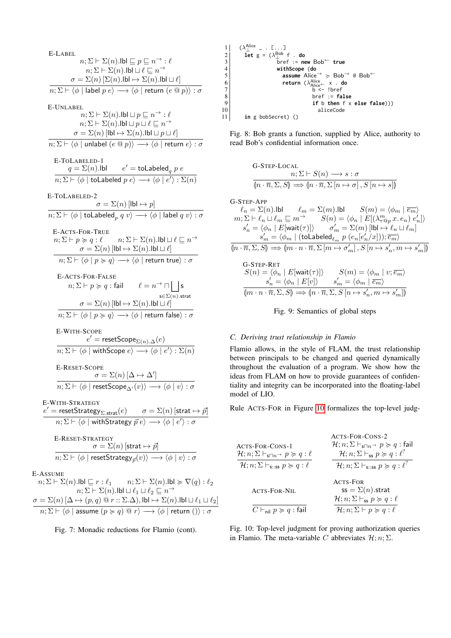<span id="page-7-1"></span>E-LABEL n; Σ ` Σ(n).lbl v p v n <sup>→</sup> : ` n; Σ ` Σ(n).lbl t ` v n → σ = Σ(n) [Σ(n).lbl 7→ Σ(n).lbl t `] n; Σ ` hφ | label p ei −−→ hφ | return (e @ p)i : σ E-UNLABEL n; Σ ` Σ(n).lbl t p v n <sup>→</sup> : ` n; Σ ` Σ(n).lbl t p t ` v n → σ = Σ(n) [lbl 7→ Σ(n).lbl t p t `] n; Σ ` hφ | unlabel (e @ p)i −−→ hφ | return ei : σ E-TOLABELED-1 q = Σ(n).lbl e <sup>0</sup> = toLabeled<sup>q</sup> p e n; Σ ` hφ | toLabeled p ei −−→ hφ | e 0 i : Σ(n) E-TOLABELED-2 σ = Σ(n) [lbl 7→ p] n; Σ ` hφ | toLabeled<sup>p</sup> q vi −−→ hφ | label q vi : σ E-ACTS-FOR-TRUE n; Σ ` p < q : ` n; Σ ` Σ(n).lbl t ` v n → σ = Σ(n) [lbl 7→ Σ(n).lbl t `] n; Σ ` hφ | p < qi −−→ hφ | return truei : σ E-ACTS-FOR-FALSE n; Σ ` p < q : fail ` = n <sup>→</sup> u G s∈Σ(n).strat s σ = Σ(n) [lbl 7→ Σ(n).lbl t `] n; Σ ` hφ | p < qi −−→ hφ | return falsei : σ E-WITH-SCOPE e <sup>0</sup> = resetScopeΣ(n).∆(e) n; Σ ` hφ | withScope ei −−→ hφ | e 0 i : Σ(n) E-RESET-SCOPE σ = Σ(n) [∆ 7→ ∆<sup>0</sup> ] n; Σ ` hφ | resetScope∆<sup>0</sup> (v)i −−→ hφ | vi : σ E-WITH-STRATEGY e <sup>0</sup> = resetStrategyΣ.strat(e) σ = Σ(n) [strat 7→ ~p] n; Σ ` hφ | withStrategy ~p ei −−→ hφ | e 0 i : σ E-RESET-STRATEGY σ = Σ(n) [strat 7→ ~p] n; Σ ` hφ | resetStrategy~p (v)i −−→ hφ | vi : σ n; Σ ` Σ(n).lbl v r : `<sup>1</sup> n; Σ ` Σ(n).lbl < ∇(q) : `<sup>2</sup> n; Σ ` Σ(n).lbl t `<sup>1</sup> t `<sup>2</sup> v n →

 $E-A$ 

 $\sigma = \Sigma(n) \left[ \Delta \mapsto (p, q) \ @~r :: \Sigma . \Delta), \textsf{lbl} \mapsto \Sigma(n). \textsf{lbl} \sqcup \ell_1 \sqcup \ell_2 \right]$  $n; \Sigma \vdash \langle \phi \mid \text{assume } (p \succcurlyeq q) \ @ \ r \rangle \longrightarrow \langle \phi \mid \text{return } () \rangle : \sigma$ 

Fig. 7: Monadic reductions for Flamio (cont).

<span id="page-7-2"></span>

| 1  | $(\lambda_1^{\text{Alice}} - \cdot [\dots]$ |   |
|----|---------------------------------------------|---|
| 2  | 1                                           | 1 |
| 3  | 2                                           |   |
| 4  | 2                                           |   |
| 5  | 2                                           |   |
| 6  | 3                                           |   |
| 7  | 4                                           |   |
| 8  | 5                                           |   |
| 9  | 6                                           |   |
| 10 | 6                                           |   |
| 11 | 1                                           |   |
| 12 | 6                                           |   |
| 13 | 1                                           |   |
| 14 | 1                                           |   |
| 15 | 1                                           |   |
| 16 | 1                                           |   |
| 17 | 1                                           |   |
| 18 | 1                                           |   |
| 19 | 1                                           |   |
| 10 | 1                                           |   |
| 11 | 1                                           |   |

Fig. 8: Bob grants a function, supplied by Alice, authority to read Bob's confidential information once.

<span id="page-7-3"></span>G-STEP-LOCAL  
\n
$$
n; \Sigma \vdash S(n) \longrightarrow s : \sigma
$$
\n
$$
\overline{\langle n \cdot \overline{n}, \Sigma, S \rangle} \Longrightarrow \langle n \cdot \overline{n}, \Sigma [n \mapsto \sigma], S [n \mapsto s] \rangle
$$
\nG-STEP-APP  
\n
$$
\ell_n = \Sigma(n). \text{lbl} \qquad \ell_m = \Sigma(m). \text{lbl} \qquad S(m) = \langle \phi_m \mid \overline{e_m} \rangle
$$
\n
$$
m; \Sigma \vdash \ell_n \sqcup \ell_m \sqsubseteq m \qquad S(n) = \langle \phi_n \mid E[(\lambda_{T \otimes p}^m x \cdot e_n) \ e'_n]
$$

$$
\begin{array}{ll} m; \Sigma \vdash \ell_n \sqcup \ell_m \sqsubseteq m^\rightarrow & S(n) = \langle \phi_n \mid E[(\lambda_{\tau \textcircled{op}}^m x. \, e_n) \; e_n'] \rangle \\ s_n' = \langle \phi_n \mid E[\text{wait}(\tau)] \rangle & \sigma_m' = \Sigma(m) \left[ \text{lbl} \mapsto \ell_n \sqcup \ell_m \right] \\ s_m' = \langle \phi_m \mid (\text{tolabeled}_{\ell_m} \; p \; (e_n[e_n'/x])) ; \overline{e_m} \rangle \\ \overline{[n \cdot \overline{n}, \Sigma, S]} \Longrightarrow \overline{[m \cdot n \cdot \overline{n}, \Sigma} \left[ m \mapsto \sigma_m' \right], S \left[ n \mapsto s_n', m \mapsto s_m' \right] \rangle \end{array}
$$

G-STEP-RET  
\n
$$
S(n) = \langle \phi_n | E[\text{wait}(\tau)] \rangle
$$
\n
$$
S(m) = \langle \phi_m | v; \overline{e_m} \rangle
$$
\n
$$
s'_n = \langle \phi_n | E[v] \rangle
$$
\n
$$
s'_m = \langle \phi_m | \overline{e_m} \rangle
$$
\n
$$
\langle [m \cdot n \cdot \overline{n}, \Sigma, S] \implies [n \cdot \overline{n}, \Sigma, S [n \mapsto s'_n, m \mapsto s'_m] \rangle
$$

Fig. 9: Semantics of global steps

# <span id="page-7-0"></span>*C. Deriving trust relationship in Flamio*

Flamio allows, in the style of FLAM, the trust relationship between principals to be changed and queried dynamically throughout the evaluation of a program. We show how the ideas from FLAM on how to provide guarantees of confidentiality and integrity can be incorporated into the floating-label model of LIO.

Rule ACTS-FOR in Figure [10](#page-7-4) formalizes the top-level judg-

<span id="page-7-4"></span>

|                                                                                   | ACTS-FOR-CONS-2                                                                                 |
|-----------------------------------------------------------------------------------|-------------------------------------------------------------------------------------------------|
| ACTS-FOR-CONS-1                                                                   | $\mathcal{H}; n; \Sigma \vdash_{s\Box n\Box p} p \succcurlyeq q$ : fail                         |
| $\mathcal{H}; n; \Sigma \vdash_{\mathsf{s} \sqcap n} p \succcurlyeq q : \ell$     | $\mathcal{H}; n; \Sigma \vdash_{\sf ss} p \succcurlyeq q : \ell^?$                              |
| $\mathcal{H}; n; \Sigma \vdash_{\mathsf{s}::\mathsf{ss}} p \succcurlyeq q : \ell$ | $\mathcal{H}; n; \Sigma \vdash_{\mathsf{s}::\mathsf{ss}} p \succcurlyeq q : \ell^{\mathcal{C}}$ |
|                                                                                   | ACTS-FOR                                                                                        |
| ACTS-FOR-NIL                                                                      | $ss = \Sigma(n)$ .strat                                                                         |
|                                                                                   | $\mathcal{H}; n; \Sigma \vdash_{\mathsf{ss}} p \succcurlyeq q : \ell$                           |
| $C\vdash_{\mathsf{nil}} p\succcurlyeq q:$ fail                                    | $\mathcal{H}: n: \Sigma \vdash p \succcurlyeq q: \ell$                                          |

Fig. 10: Top-level judgment for proving authorization queries in Flamio. The meta-variable C abbreviates  $\mathcal{H}; n; \Sigma$ .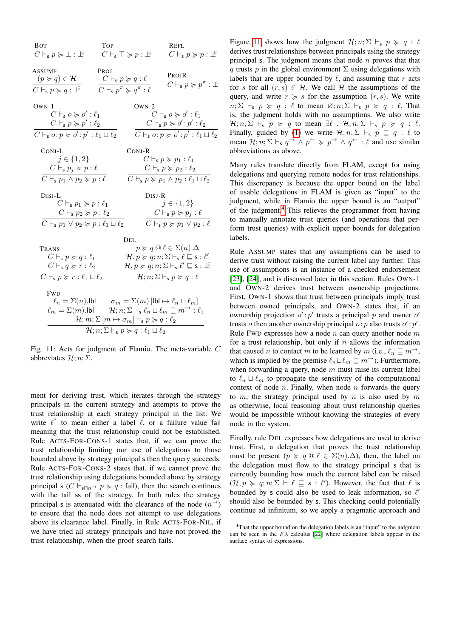<span id="page-8-0"></span>

| <b>BOT</b><br>$C\vdash_{\mathsf{s}} p \succcurlyeq \bot : \bot$                                                                                                                         | <b>TOP</b><br>$C\vdash_{\mathsf{s}} \top \succcurlyeq p:\bot^{\sqsubseteq}$                                    |          | Refl<br>$C\vdash_{\mathsf{s}} p\succcurlyeq p:\bot^{\mathsf{F}}$                                                                                                                                                                                                                                                                               |
|-----------------------------------------------------------------------------------------------------------------------------------------------------------------------------------------|----------------------------------------------------------------------------------------------------------------|----------|------------------------------------------------------------------------------------------------------------------------------------------------------------------------------------------------------------------------------------------------------------------------------------------------------------------------------------------------|
| <b>ASSUMP</b><br>$(p \succcurlyeq q) \in \mathcal{H}$<br>$C\vdash_s p\succcurlyeq q:\bot^{\sqsubseteq}$                                                                                 | PROJ<br>$C\vdash_{\mathsf{s}} p\succcurlyeq q:\ell$<br>$C\vdash_{\mathsf{s}} p^{\pi}\succcurlyeq q^{\pi}:\ell$ |          | PROJR<br>$C\vdash_{\mathsf{s}} p\succcurlyeq p^{\pi}:\bot^{\mathsf{c}}$                                                                                                                                                                                                                                                                        |
| $OWN-1$<br>$C\vdash_{\mathsf{s}} o \succcurlyeq o' : \ell_1$<br>$C\vdash_{\mathsf{s}} p\succcurlyeq p':\ell_2$<br>$C\vdash_{\mathsf{s}} o: p \succcurlyeq o': p': \ell_1 \sqcup \ell_2$ |                                                                                                                | $OWN-2$  | $C\vdash_{\mathsf{s}} o \succcurlyeq o' : \ell_1$<br>$C\vdash_{\mathsf{s}} p\succcurlyeq o':p':\ell_2$<br>$C\vdash_{\mathsf{s}} o: p \succcurlyeq o': p': \ell_1 \sqcup \ell_2$                                                                                                                                                                |
| CONJ-L<br>$j \in \{1,2\}$<br>$C\vdash_{\mathsf{s}} p_i \succcurlyeq p:\ell$<br>$C\vdash_{\mathbf{s}} p_1 \wedge p_2 \succcurlyeq p:\ell$                                                |                                                                                                                | $Conv-R$ | $C\vdash_{\mathsf{s}} p \succcurlyeq p_1:\ell_1$<br>$C\vdash_{\mathsf{s}} p \succcurlyeq p_2:\ell_2$<br>$C\vdash_{\mathbf{s}} p \succcurlyeq p_1 \wedge p_2 : \ell_1 \sqcup \ell_2$                                                                                                                                                            |
| $DisJ-L$<br>$C\vdash_{\mathsf{s}} p_1 \succcurlyeq p:\ell_1$<br>$C\vdash_{\mathsf{s}} p_2 \succcurlyeq p:\ell_2$<br>$C\vdash_{\mathsf{s}} p_1\vee p_2\succcurlyeq p:\ell_1\sqcup\ell_2$ |                                                                                                                | $DisJ-R$ | $j \in \{1,2\}$<br>$C\vdash_{\mathsf{s}} p \succcurlyeq p_j : \ell$<br>$C\vdash_{\mathsf{s}} p \succcurlyeq p_1 \vee p_2 : \ell$                                                                                                                                                                                                               |
|                                                                                                                                                                                         |                                                                                                                | Del.     |                                                                                                                                                                                                                                                                                                                                                |
| Trans<br>$C\vdash_{\mathsf{s}} p\succcurlyeq q:\ell_1$<br>$C\vdash_{\mathsf{s}} q \succcurlyeq r:\ell_2$<br>$C\vdash_s p\succcurlyeq r:\ell_1\sqcup\ell_2$                              |                                                                                                                |          | $p \succcurlyeq q \circledcirc \ell \in \Sigma(n) . \Delta$<br>$\mathcal{H}, p \succcurlyeq q; n; \Sigma \vdash_{\mathsf{s}} \ell \sqsubseteq \mathsf{s} : \ell'$<br>$\mathcal{H}, p \succcurlyeq q; n; \Sigma \vdash_{\mathsf{s}} \ell' \sqsubseteq \mathsf{s}: \bot$<br>$\mathcal{H}; n; \Sigma \vdash_{\mathsf{s}} p \succcurlyeq q : \ell$ |
| <b>FWD</b><br>$\ell_m = \Sigma(m)$ .lbl $\mathcal{H}; n; \Sigma \vdash_{\mathsf{s}} \ell_n \sqcup \ell_m \sqsubseteq m^{\rightarrow} : \ell_1$                                          | $\mathcal{H}; m; \Sigma \left[ m \mapsto \sigma_m \right] \vdash_{\mathsf{s}} p \succcurlyeq q : \ell_2$       |          | $\ell_n = \Sigma(n)$ .lbl $\sigma_m = \Sigma(m)$ [lbl $\mapsto \ell_n \sqcup \ell_m$ ]                                                                                                                                                                                                                                                         |
|                                                                                                                                                                                         | $\mathcal{H}; n; \Sigma \vdash_{\mathbf{s}} p \succcurlyeq q : \ell_1 \sqcup \ell_2$                           |          |                                                                                                                                                                                                                                                                                                                                                |

Fig. 11: Acts for judgment of Flamio. The meta-variable C abbreviates  $\mathcal{H}; n; \Sigma.$ 

ment for deriving trust, which iterates through the strategy principals in the current strategy and attempts to prove the trust relationship at each strategy principal in the list. We write  $\ell^?$  to mean either a label  $\ell$ , or a failure value fail meaning that the trust relationship could not be established. Rule ACTS-FOR-CONS-1 states that, if we can prove the trust relationship limiting our use of delegations to those bounded above by strategy principal s then the query succeeds. Rule ACTS-FOR-CONS-2 states that, if we cannot prove the trust relationship using delegations bounded above by strategy principal s ( $C \vdash_{s\Box n} p \succcurlyeq q$ : fail), then the search continues with the tail ss of the strategy. In both rules the strategy principal s is attenuated with the clearance of the node  $(n^{\rightarrow})$ to ensure that the node does not attempt to use delegations above its clearance label. Finally, in Rule ACTS-FOR-NIL, if we have tried all strategy principals and have not proved the trust relationship, when the proof search fails.

Figure [11](#page-8-0) shows how the judgment  $\mathcal{H}; n; \Sigma \vdash_s p \succcurlyeq q : \ell$ derives trust relationships between principals using the strategy principal s. The judgment means that node  $n$  proves that that q trusts p in the global environment  $\Sigma$  using delegations with labels that are upper bounded by  $\ell$ , and assuming that r acts for s for all  $(r, s) \in H$ . We call H the assumptions of the query, and write  $r \geq s$  for the assumption  $(r, s)$ . We write  $n; \Sigma \vdash_s p \succcurlyeq q : \ell$  to mean  $\emptyset; n; \Sigma \vdash_s p \succcurlyeq q : \ell$ . That is, the judgment holds with no assumptions. We also write  $\mathcal{H}; n; \Sigma \vdash_{\mathsf{s}} p \succcurlyeq q$  to mean  $\exists \ell : \mathcal{H}; n; \Sigma \vdash_{\mathsf{s}} p \succcurlyeq q : \ell$ . Finally, guided by [\(1\)](#page-1-3) we write  $\mathcal{H}; n; \Sigma \vdash_s p \sqsubseteq q : \ell$  to mean  $\mathcal{H}; n; \Sigma \vdash_s q \rightarrow \wedge p \leftarrow \succcurlyeq p \rightarrow \wedge q \leftarrow : \ell$  and use similar abbreviations as above.

Many rules translate directly from FLAM, except for using delegations and querying remote nodes for trust relationships. This discrepancy is because the upper bound on the label of usable delegations in FLAM is given as "input" to the judgment, while in Flamio the upper bound is an "output" of the judgment.[4](#page-8-1) This relieves the programmer from having to manually annotate trust queries (and operations that perform trust queries) with explicit upper bounds for delegation labels.

Rule ASSUMP states that any assumptions can be used to derive trust without raising the current label any further. This use of assumptions is an instance of a checked endorsement [\[23\]](#page-15-12), [\[24\]](#page-15-13), and is discussed later in this section. Rules OWN-1 and OWN-2 derives trust between ownership projections. First, OWN-1 shows that trust between principals imply trust between owned principals, and OWN-2 states that, if an ownership projection  $o'$ :  $p'$  trusts a principal p and owner  $o'$ trusts o then another ownership principal  $o: p$  also trusts  $o': p'.$ Rule FWD expresses how a node  $n$  can query another node  $m$ for a trust relationship, but only if  $n$  allows the information that caused *n* to contact *m* to be learned by *m* (i.e.,  $\ell_n \sqsubseteq m \rightarrow$ , which is implied by the premise  $\ell_n \sqcup \ell_m \sqsubseteq m^{\rightarrow}$ ). Furthermore, when forwarding a query, node  $m$  must raise its current label to  $\ell_n \sqcup \ell_m$  to propagate the sensitivity of the computational context of node  $n$ . Finally, when node  $n$  forwards the query to m, the strategy principal used by n is also used by m as otherwise, local reasoning about trust relationship queries would be impossible without knowing the strategies of every node in the system.

Finally, rule DEL expresses how delegations are used to derive trust. First, a delegation that proves the trust relationship must be present ( $p \ge q \subseteq \ell \in \Sigma(n)$ . $\Delta$ ), then, the label on the delegation must flow to the strategy principal s that is currently bounding how much the current label can be raised  $(\mathcal{H}, p \geq q; n; \Sigma \vdash \ell \sqsubseteq s : \ell')$ . However, the fact that  $\ell$  is bounded by s could also be used to leak information, so  $\ell'$ should also be bounded by s. This checking could potentially continue ad infinitum, so we apply a pragmatic approach and

<span id="page-8-1"></span><sup>4</sup>That the upper bound on the delegation labels is an "input" to the judgment can be seen in the  $F\lambda$  calculus [\[22\]](#page-15-14) where delegation labels appear in the surface syntax of expressions.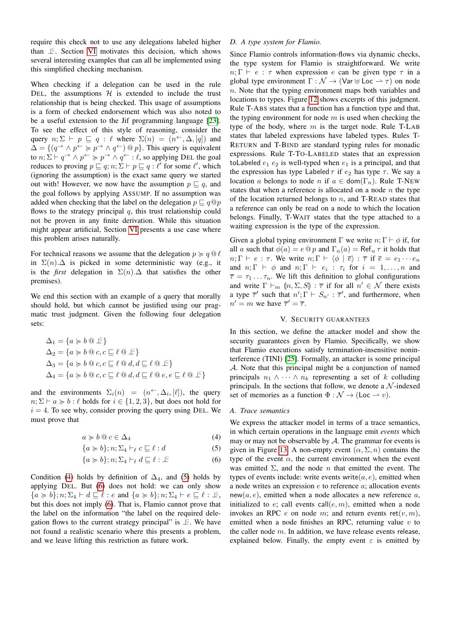require this check not to use any delegations labeled higher than  $\mathbb{F}$ . Section [VI](#page-12-0) motivates this decision, which shows several interesting examples that can all be implemented using this simplified checking mechanism.

When checking if a delegation can be used in the rule DEL, the assumptions  $H$  is extended to include the trust relationship that is being checked. This usage of assumptions is a form of checked endorsement which was also noted to be a useful extension to the Jif programming language [\[23\]](#page-15-12). To see the effect of this style of reasoning, consider the query  $n; \Sigma \vdash p \sqsubseteq q : \ell$  where  $\Sigma(n) = (n^{\leftarrow}, \Delta, [q])$  and  $\Delta = \{ (q \rightarrow \wedge p \leftarrow \geq p \rightarrow \wedge q \leftarrow) \text{ or } p \}.$  This query is equivalent to  $n; \Sigma \vdash q \rightarrow \wedge p \leftarrow \succcurlyeq p \rightarrow \wedge q \leftarrow : \ell$ , so applying DEL the goal reduces to proving  $p \sqsubseteq q; n; \Sigma \vdash p \sqsubseteq q : \ell'$  for some  $\ell'$ , which (ignoring the assumption) is the exact same query we started out with! However, we now have the assumption  $p \sqsubseteq q$ , and the goal follows by applying ASSUMP. If no assumption was added when checking that the label on the delegation  $p \sqsubseteq q \textcircled{q} p$ flows to the strategy principal  $q$ , this trust relationship could not be proven in any finite derivation. While this situation might appear artificial, Section [VI](#page-12-0) presents a use case where this problem arises naturally.

For technical reasons we assume that the delegation  $p \succcurlyeq q \, \textcircled{e} \, \ell$ in  $\Sigma(n)$ . $\Delta$  is picked in some deterministic way (e.g., it is the *first* delegation in  $\Sigma(n)$ .  $\Delta$  that satisfies the other premises).

We end this section with an example of a query that morally should hold, but which cannot be justified using our pragmatic trust judgment. Given the following four delegation sets:

$$
\Delta_1 = \{a \succcurlyeq b \text{ or } \text{if } a \in B \text{ or } a \in B \text{ or } a \in B \text{ or } a \in B \text{ or } a \in B \text{ or } a \in B \text{ or } a \in B \text{ or } a \in B \text{ or } a \in B \text{ or } a \in B \text{ or } a \in B \text{ or } a \in B \text{ or } a \in B \text{ or } a \in B \text{ or } a \in B \text{ or } a \in B \text{ or } a \in B \text{ or } a \in B \text{ or } a \in B \text{ or } a \in B \text{ or } a \in B \text{ or } a \in B \text{ or } a \in B \text{ or } a \in B \text{ or } a \in B \text{ or } a \in B \text{ or } a \in B \text{ or } a \in B \text{ or } a \in B \text{ or } a \in B \text{ or } a \in B \text{ or } a \in B \text{ or } a \in B \text{ or } a \in B \text{ or } a \in B \text{ or } a \in B \text{ or } a \in B \text{ or } a \in B \text{ or } a \in B \text{ or } a \in B \text{ or } a \in B \text{ or } a \in B \text{ or } a \in B \text{ or } a \in B \text{ or } a \in B \text{ or } a \in B \text{ or } a \in B \text{ or } a \in B \text{ or } a \in B \text{ or } a \in B \text{ or } a \in B \text{ or } a \in B \text{ or } a \in B \text{ or } a \in B \text{ or } a \in B \text{ or } a \in B \text{ or } a \in B \text{ or } a \in B \text{ or } a \in B \text{ or } a \in B \text{ or } a \in B \text{ or } a \in B \text{ or } a \in B \text{ or } a \in B \text{ or } a \in B \text{ or } a \in B \text{ or } a \in B \text{ or } a \in B \text{ or } a \in B \text{ or } a \in B \text{ or } a \in B \text{ or } a \in B \text{ or } a \in B \text{ or } a \in B \text{ or } a \in B \text{ or } a \in B \text{ or } a \in B \text{ or } a \in B \text{ or } a \in B \text{ or } a \in B \text{ or } a \in B \text{ or } a \in B \text{
$$

and the environments  $\Sigma_i(n) = (n^{\leftarrow}, \Delta_i, [\ell])$ , the query  $n; \Sigma \vdash a \succcurlyeq b : \ell$  holds for  $i \in \{1, 2, 3\}$ , but does not hold for  $i = 4$ . To see why, consider proving the query using DEL. We must prove that

$$
a \succcurlyeq b \t\t0 \t\t c \in \Delta_4 \t\t(4)
$$

$$
\{a \succcurlyeq b\}; n; \Sigma_4 \vdash_{\ell} c \sqsubseteq \ell : d \tag{5}
$$

$$
\{a \succcurlyeq b\}; n; \Sigma_4 \vdash_{\ell} d \sqsubseteq \ell : \bot^{\sqsubseteq} \tag{6}
$$

Condition [\(4\)](#page-9-1) holds by definition of  $\Delta_4$ , and [\(5\)](#page-9-2) holds by applying DEL. But [\(6\)](#page-9-3) does not hold: we can only show  ${a \succ b}; n; \Sigma_4 \vdash d \sqsubseteq \ell : e \text{ and } {a \succ b}; n; \Sigma_4 \vdash e \sqsubseteq \ell : \bot^c,$ but this does not imply [\(6\)](#page-9-3). That is, Flamio cannot prove that the label on the information "the label on the required delegation flows to the current strategy principal" is  $\bot$ . We have not found a realistic scenario where this presents a problem, and we leave lifting this restriction as future work.

#### *D. A type system for Flamio.*

Since Flamio controls information-flows via dynamic checks, the type system for Flamio is straightforward. We write  $n; \Gamma \vdash e : \tau$  when expression e can be given type  $\tau$  in a global type environment  $\Gamma : \mathcal{N} \to (\text{Var} \boxplus \text{Loc} \to \tau)$  on node  $n.$  Note that the typing environment maps both variables and locations to types. Figure [12](#page-10-0) shows excerpts of this judgment. Rule T-ABS states that a function has a function type and that, the typing environment for node  $m$  is used when checking the type of the body, where  $m$  is the target node. Rule T-LAB states that labeled expressions have labeled types. Rules T-RETURN and T-BIND are standard typing rules for monadic expressions. Rule T-TO-LABELED states that an expression toLabeled  $e_1 e_2$  is well-typed when  $e_1$  is a principal, and that the expression has type Labeled  $\tau$  if  $e_2$  has type  $\tau$ . We say a location a belongs to node n if  $a \in \text{dom}(\Gamma_n)$ . Rule T-NEW states that when a reference is allocated on a node  $n$  the type of the location returned belongs to  $n$ , and T-READ states that a reference can only be read on a node to which the location belongs. Finally, T-WAIT states that the type attached to a waiting expression is the type of the expression.

Given a global typing environment  $\Gamma$  we write  $n: \Gamma \vdash \phi$  if, for all a such that  $\phi(a) = e \otimes p$  and  $\Gamma_n(a) = \text{Ref}_n \tau$  it holds that  $n; \Gamma \vdash e : \tau$ . We write  $n; \Gamma \vdash \langle \phi \mid \overline{e} \rangle : \overline{\tau}$  if  $\overline{e} = e_1 \cdots e_n$ and  $n; \Gamma \vdash \phi$  and  $n; \Gamma \vdash e_i : \tau_i$  for  $i = 1, ..., n$  and  $\overline{\tau} = \tau_1 \dots \tau_n$ . We lift this definition to global configurations and write  $\Gamma \vdash_m (n, \Sigma, S) : \overline{\tau}$  if for all  $n' \in \mathcal{N}$  there exists<br>a type  $\overline{\tau}'$  such that  $n' \colon \Gamma \vdash S \leftrightarrow \overline{\tau}'$  and furthermore, when a type  $\overline{\tau}'$  such that  $n'$ ;  $\Gamma \vdash S_{n'} : \overline{\tau}'$ , and furthermore, when  $n' = m$  we have  $\overline{\tau}' = \overline{\tau}$ .

# V. SECURITY GUARANTEES

<span id="page-9-0"></span>In this section, we define the attacker model and show the security guarantees given by Flamio. Specifically, we show that Flamio executions satisfy termination-insensitive noninterference (TINI) [\[25\]](#page-15-15). Formally, an attacker is some principal A. Note that this principal might be a conjunction of named principals  $n_1 \wedge \cdots \wedge n_k$  representing a set of k colluding principals. In the sections that follow, we denote a  $\mathcal N$ -indexed set of memories as a function  $\Phi : \mathcal{N} \to (\text{Loc} \to v)$ .

## *A. Trace semantics*

<span id="page-9-3"></span><span id="page-9-2"></span><span id="page-9-1"></span>We express the attacker model in terms of a trace semantics, in which certain operations in the language emit *events* which may or may not be observable by  $A$ . The grammar for events is given in Figure [13.](#page-10-1) A non-empty event  $(\alpha, \Sigma, n)$  contains the type of the event  $\alpha$ , the current environment when the event was emitted  $\Sigma$ , and the node *n* that emitted the event. The types of events include: write events write $(a, e)$ , emitted when a node writes an expression  $e$  to reference  $a$ ; allocation events  $new(a, e)$ , emitted when a node allocates a new reference a, initialized to  $e$ ; call events call $(e, m)$ , emitted when a node invokes an RPC  $e$  on node  $m$ ; and return events ret $(v, m)$ , emitted when a node finishes an RPC, returning value  $v$  to the caller node  $m$ . In addition, we have release events release, explained below. Finally, the empty event  $\varepsilon$  is emitted by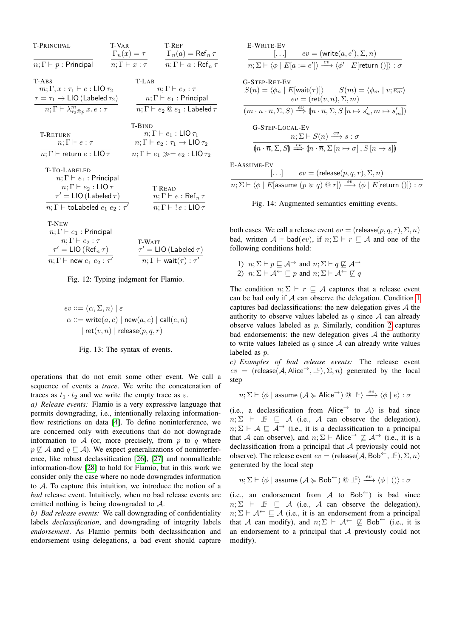<span id="page-10-0"></span>

| T-PRINCIPAL                                                | T-VAR<br>$\Gamma_n(x)=\tau$ |               | <b>T-REF</b><br>$\Gamma_n(a) = \text{Ref}_n \tau$   |
|------------------------------------------------------------|-----------------------------|---------------|-----------------------------------------------------|
| $n;\Gamma\vdash p$ : Principal                             | $n;\Gamma \vdash x : \tau$  |               | $n;\Gamma\vdash a:\mathsf{Ref}_n\tau$               |
| T-ABS                                                      |                             | T-LAB         |                                                     |
| $m;\Gamma,x:\tau_1\vdash e:\mathsf{LIO}\,\tau_2$           |                             |               | $n;\Gamma \vdash e_2 : \tau$                        |
| $\tau = \tau_1 \rightarrow \text{LIO}$ (Labeled $\tau_2$ ) |                             |               | $n;\Gamma\vdash e_1$ : Principal                    |
| $n;\Gamma\vdash \lambda^m_{\tau_2@p}x.e:\tau$              |                             |               | $n; \Gamma \vdash e_2 \t\t\t@ e_1 :$ Labeled $\tau$ |
|                                                            |                             | <b>T-BIND</b> |                                                     |
| T-RETURN                                                   |                             |               | $n;\Gamma\vdash e_1:\mathsf{LIO}\,\tau_1$           |
| $n;\Gamma\vdash e:\tau$                                    |                             |               | $n;\Gamma\vdash e_2:\tau_1\to\mathsf{LIO}\,\tau_2$  |
| $n;\Gamma\vdash$ return $e:\mathsf{LIO}\,\tau$             |                             |               | $n;\Gamma\vdash e_1\gg=e_2:\mathsf{LIO}_{\tau_2}$   |
| T-TO-LABELED                                               |                             |               |                                                     |
| $n;\Gamma\vdash e_1$ : Principal                           |                             |               |                                                     |
| $n;\Gamma\vdash e_2:\mathsf{LIO}\,\tau$                    |                             |               | <b>T-READ</b>                                       |
| $\tau' = LIO$ (Labeled $\tau$ )                            |                             |               | $n;\Gamma\vdash e:\mathsf{Ref}_n\tau$               |
| $n;\Gamma\vdash$ toLabeled $e_1\ e_2:\tau'$                |                             |               | $n;\Gamma \vdash !e:\mathsf{LIO}\,\tau$             |
| <b>T-NEW</b>                                               |                             |               |                                                     |
| $n;\Gamma\vdash e_1$ : Principal                           |                             |               |                                                     |
| $n;\Gamma\vdash e_2:\tau$                                  |                             | <b>T-WAIT</b> |                                                     |
| $\tau' = LIO \left( Ref_n \tau \right)$                    |                             |               | $\tau' = LIO$ (Labeled $\tau$ )                     |
| $n;\Gamma \vdash$ new $e_1$ $e_2$ : $\tau'$                |                             |               | $n; \Gamma \vdash \textsf{wait}(\tau) : \tau'$      |

<span id="page-10-1"></span>

$$
\begin{aligned} ev &::= (\alpha, \Sigma, n) \mid \varepsilon \\ \alpha &::= \textsf{write}(a, e) \mid \textsf{new}(a, e) \mid \textsf{call}(e, n) \\ & \mid \textsf{ret}(v, n) \mid \textsf{release}(p, q, r) \end{aligned}
$$

Fig. 13: The syntax of events.

operations that do not emit some other event. We call a sequence of events a *trace*. We write the concatenation of traces as  $t_1 \cdot t_2$  and we write the empty trace as  $\varepsilon$ .

*a) Release events:* Flamio is a very expressive language that permits downgrading, i.e., intentionally relaxing informationflow restrictions on data [\[4\]](#page-14-3). To define noninterference, we are concerned only with executions that do not downgrade information to  $A$  (or, more precisely, from p to q where  $p \not\sqsubseteq A$  and  $q \sqsubseteq A$ ). We expect generalizations of noninterference, like robust declassification [\[26\]](#page-15-16), [\[27\]](#page-15-17) and nonmalleable information-flow [\[28\]](#page-15-18) to hold for Flamio, but in this work we consider only the case where no node downgrades information to A. To capture this intuition, we introduce the notion of a *bad* release event. Intuitively, when no bad release events are emitted nothing is being downgraded to A.

*b) Bad release events:* We call downgrading of confidentiality labels *declassification*, and downgrading of integrity labels *endorsement*. As Flamio permits both declassification and endorsement using delegations, a bad event should capture

<span id="page-10-4"></span>E-WRITE-EV  
\n
$$
[...] \qquad ev = (\text{write}(a, e'), \Sigma, n)
$$
\n
$$
n; \Sigma \vdash \langle \phi | E[a := e'] \rangle \xrightarrow{ev} \langle \phi' | E[\text{return ()} \rangle : \sigma
$$
\nG-STEP-RET-EV  
\n
$$
S(n) = \langle \phi_n | E[\text{wait}(\tau)] \rangle \qquad S(m) = \langle \phi_m | v; \overline{e_m} \rangle
$$
\n
$$
ev = (\text{ret}(v, n), \Sigma, m)
$$
\n
$$
(m \cdot n \cdot \overline{n}, \Sigma, S) \xrightarrow{ev} (n \cdot \overline{n}, \Sigma, S [n \mapsto s'_n, m \mapsto s'_m])
$$
\nG-STEP-LOCAL-EV  
\n
$$
n; \Sigma \vdash S(n) \xrightarrow{ev} s : \sigma
$$
\n
$$
(n \cdot \overline{n}, \Sigma, S) \xrightarrow{ev} (n \cdot \overline{n}, \Sigma [n \mapsto \sigma], S [n \mapsto s])
$$
\nE-Assume-EV  
\n
$$
[...] \qquad ev = (\text{release}(p, q, r), \Sigma, n)
$$
\n
$$
\overline{n; \Sigma \vdash \langle \phi | E[\text{assume } (p \succ q) \text{ @ } r] \rangle \xrightarrow{ev} \langle \phi | E[\text{return } () ] \rangle : \sigma
$$

Fig. 14: Augmented semantics emitting events.

both cases. We call a release event  $ev = (release(p, q, r), \Sigma, n)$ bad, written  $A \vdash \text{bad}(ev)$ , if  $n; \Sigma \vdash r \sqsubset A$  and one of the following conditions hold:

<span id="page-10-3"></span><span id="page-10-2"></span>1)  $n; \Sigma \vdash p \sqsubseteq \mathcal{A}$  and  $n; \Sigma \vdash q \not\sqsubseteq \mathcal{A}$ 2)  $n; \Sigma \vdash A^{\leftarrow} \sqsubseteq p$  and  $n; \Sigma \vdash A^{\leftarrow} \not\sqsubseteq q$ 

The condition  $n; \Sigma \vdash r \sqsubseteq A$  captures that a release event can be bad only if  $A$  can observe the delegation. Condition [1](#page-10-2) captures bad declassifications: the new delegation gives  $A$  the authority to observe values labeled as q since  $A$  can already observe values labeled as  $p$ . Similarly, condition [2](#page-10-3) captures bad endorsements: the new delegation gives  $A$  the authority to write values labeled as  $q$  since  $A$  can already write values labeled as p.

*c) Examples of bad release events:* The release event  $ev = (release(A, Alice^{\rightarrow}, \perp\subseteq), \Sigma, n)$  generated by the local step

$$
n; \Sigma \vdash \langle \phi \mid \text{assume } (\mathcal{A} \succcurlyeq \mathsf{Alice}^{\rightarrow}) \text{ @ } \bot \vdash \rangle \xrightarrow{ev} \langle \phi \mid e \rangle : \sigma
$$

(i.e., a declassification from Alice  $\rightarrow$  to A) is bad since  $n; \Sigma \vdash \bot \equiv \bot \bot \text{ (i.e., } \bot \text{ can observe the delegation)}$  $n; \Sigma \vdash A \sqsubseteq A \rightarrow$  (i.e., it is a declassification to a principal that A can observe), and  $n; \Sigma \vdash$  Alice  $\rightarrow \Sigma$   $\rightarrow$  (i.e., it is a declassification from a principal that A previously could not observe). The release event  $ev = ($ release $(\mathcal{A}, \text{Bob}^{\leftarrow}, \perp \in I), \Sigma, n)$ generated by the local step

$$
n; \Sigma \vdash \langle \phi \mid \text{assume } (\mathcal{A} \succcurlyeq \mathsf{Bob}^{\leftarrow}) \text{ @ } \perp^{\subseteq} \rangle \xrightarrow{ev} \langle \phi \mid () \rangle : \sigma
$$

(i.e., an endorsement from A to Bob<sup> $\leftarrow$ </sup>) is bad since  $n; \Sigma \vdash \bot \vDash \sqsubseteq \mathcal{A}$  (i.e., A can observe the delegation),  $n; \Sigma \vdash A \leftarrow \sqsubseteq A$  (i.e., it is an endorsement from a principal that A can modify), and  $n; \Sigma \vdash A^{\leftarrow} \not\sqsubseteq \text{Bob}^{\leftarrow}$  (i.e., it is an endorsement to a principal that  $A$  previously could not modify).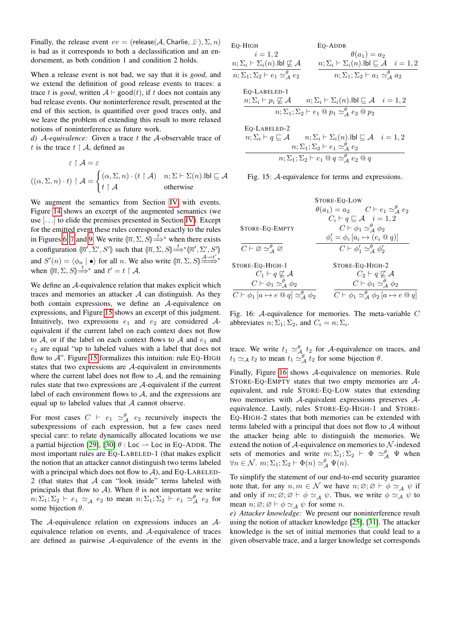Finally, the release event  $ev = ($ release $(\mathcal{A},$  Charlie,  $\bot \infty)$ ,  $\Sigma$ ,  $n)$ is bad as it corresponds to both a declassification and an endorsement, as both condition 1 and condition 2 holds.

When a release event is not bad, we say that it is *good*, and we extend the definition of good release events to traces: a trace t is *good*, written  $A \vdash \mathsf{good}(t)$ , if t does not contain any bad release events. Our noninterference result, presented at the end of this section, is quantified over good traces only, and we leave the problem of extending this result to more relaxed notions of noninterference as future work.

*d)* A*-equivalence:* Given a trace t the A-observable trace of t is the trace  $t \restriction A$ , defined as

$$
\varepsilon \upharpoonright \mathcal{A} = \varepsilon
$$

$$
((\alpha, \Sigma, n) \cdot t) \upharpoonright \mathcal{A} = \begin{cases} (\alpha, \Sigma, n) \cdot (t \upharpoonright \mathcal{A}) & n; \Sigma \vdash \Sigma(n). \mathsf{Ibl} \sqsubseteq \mathcal{A} \\ t \upharpoonright \mathcal{A} & \text{otherwise} \end{cases}
$$

We augment the semantics from Section [IV](#page-4-0) with events. Figure [14](#page-10-4) shows an excerpt of the augmented semantics (we use [. . .] to elide the premises presented in Section [IV\)](#page-4-0). Except for the emitted event these rules correspond exactly to the rules in Figures [6,](#page-6-0) [7](#page-7-1) and [9.](#page-7-3) We write  $(\overline{n}, \Sigma, S)$ in Figures 6, 7 and 9. We write  $(\overline{n}, \Sigma, S) \stackrel{t}{\Longrightarrow}^*$  when there exists a configuration  $\langle \overline{n}', \Sigma', S' \rangle$  such that  $\langle \overline{n}, \Sigma, S \rangle \stackrel{t}{\longrightarrow}^* \langle \overline{n}', \Sigma', S' \rangle$ and  $S'(n) = \langle \phi_n | \bullet \rangle$  for all n. We also write  $\langle \overline{n}, \Sigma, S \rangle \stackrel{A \leadsto t'}{\longrightarrow}^*$ when  $(\overline{n}, \Sigma, S) \stackrel{t}{\Longrightarrow}^*$  and  $t' = t \upharpoonright A$ .

We define an A-equivalence relation that makes explicit which traces and memories an attacker  $A$  can distinguish. As they both contain expressions, we define an A-equivalence on expressions, and Figure [15](#page-11-0) shows an excerpt of this judgment. Intuitively, two expressions  $e_1$  and  $e_2$  are considered  $A$ equivalent if the current label on each context does not flow to A, or if the label on each context flows to A and  $e_1$  and  $e_2$  are equal "up to labeled values with a label that does not flow to  $A$ ". Figure [15](#page-11-0) formalizes this intuition: rule EQ-HIGH states that two expressions are A-equivalent in environments where the current label does not flow to  $A$ , and the remaining rules state that two expressions are A-equivalent if the current label of each environment flows to  $A$ , and the expressions are equal up to labeled values that  $A$  cannot observe.

For most cases  $C \vdash e_1 \simeq^\theta_{\mathcal{A}} e_2$  recursively inspects the subexpressions of each expression, but a few cases need special care: to relate dynamically allocated locations we use a partial bijection [\[29\]](#page-15-19), [\[30\]](#page-15-20)  $\theta$  : Loc  $\rightarrow$  Loc in EQ-ADDR. The most important rules are EQ-LABELED-1 (that makes explicit the notion that an attacker cannot distinguish two terms labeled with a principal which does not flow to  $A$ ), and EQ-LABELED-2 (that states that  $A$  can "look inside" terms labeled with principals that flow to A). When  $\theta$  is not important we write  $n; \Sigma_1; \Sigma_2 \vdash e_1 \simeq_{\mathcal{A}} e_2$  to mean  $n; \Sigma_1; \Sigma_2 \vdash e_1 \simeq_{\mathcal{A}}^{\theta} e_2$  for some bijection  $\theta$ .

The A-equivalence relation on expressions induces an Aequivalence relation on events, and A-equivalence of traces are defined as pairwise A-equivalence of the events in the <span id="page-11-0"></span>EQ-HIGH  $i = 1, 2$  $n; \Sigma_i \vdash \Sigma_i(n).$ lbl  $\not\sqsubseteq \mathcal{A}$  $n; \Sigma_1; \Sigma_2 \vdash e_1 \simeq_{\mathcal{A}}^{\theta} e_2$ EQ-ADDR  $\theta(a_1) = a_2$  $n; \Sigma_i \vdash \Sigma_i(n)$ .lbl  $\sqsubseteq \mathcal{A}$   $i = 1, 2$  $n; \Sigma_1; \Sigma_2 \vdash a_1 \simeq^{\theta} A a_2$ 

EQ-LABELED-1  
\n
$$
\frac{n; \sum_{i} \vdash p_{i} \not\sqsubseteq A \qquad n; \sum_{i} \vdash \sum_{i} (n). \text{lbl} \sqsubseteq A \quad i = 1, 2}{n; \sum_{1} \vdash \sum_{2} \vdash e_{1} \text{ @ } p_{1} \simeq_{\mathcal{A}}^{\theta} e_{2} \text{ @ } p_{2}}
$$

EQ-LABELED-2  
\nn; 
$$
\Sigma_i \vdash q \sqsubseteq \mathcal{A}
$$
  $n; \Sigma_i \vdash \Sigma_i(n)$ .  
\nlb|  $\sqsubseteq \mathcal{A}$   $i = 1, 2$   
\nn;  $\Sigma_1; \Sigma_2 \vdash e_1 \simeq^{\theta}_{\mathcal{A}} e_2$   
\nn;  $\Sigma_1; \Sigma_2 \vdash e_1 \tIm q \simeq^{\theta}_{\mathcal{A}} e_2 \tIm q$ 

|  | Fig. 15: A-equivalence for terms and expressions. |  |  |
|--|---------------------------------------------------|--|--|
|  |                                                   |  |  |

<span id="page-11-1"></span>

|                                                                    | STORE-EO-LOW                                                          |
|--------------------------------------------------------------------|-----------------------------------------------------------------------|
|                                                                    | $\theta(a_1) = a_2 \qquad C \vdash e_1 \simeq^{\theta}_{\Lambda} e_2$ |
|                                                                    | $C_i \vdash q \sqsubset \mathcal{A} \quad i=1,2$                      |
| STORE-EQ-EMPTY                                                     | $C \vdash \phi_1 \simeq_A^{\theta} \phi_2$                            |
|                                                                    | $\phi'_i = \phi_i \left[ a_i \mapsto (e_i \otimes q) \right]$         |
| $C\vdash\varnothing\simeq^\theta_\varDelta\varnothing$             | $C \vdash \phi_1' \simeq_A^{\theta} \phi_2'$                          |
| STORE-EQ-HIGH-1                                                    | STORE-EQ-HIGH-2                                                       |
| $C_1 \vdash q \not\sqsubseteq \mathcal{A}$                         | $C_2 \vdash q \not\sqsubseteq \mathcal{A}$                            |
| $C \vdash \phi_1 \simeq_A^{\theta} \phi_2$                         | $C \vdash \phi_1 \simeq_A^{\theta} \phi_2$                            |
| $C \vdash \phi_1 [a \mapsto e \otimes q] \simeq_A^{\theta} \phi_2$ | $C \vdash \phi_1 \simeq_A^{\theta} \phi_2 [a \mapsto e \otimes q]$    |

Fig. 16: A-equivalence for memories. The meta-variable C abbreviates  $n; \Sigma_1; \Sigma_2$ , and  $C_i = n; \Sigma_i$ .

trace. We write  $t_1 \simeq_{\mathcal{A}_2}^{\theta} t_2$  for A-equivalence on traces, and  $t_1 \simeq_{\mathcal{A}} t_2$  to mean  $t_1 \simeq_{\mathcal{A}}^{\theta} t_2$  for some bijection  $\theta$ .

Finally, Figure [16](#page-11-1) shows A-equivalence on memories. Rule STORE-EQ-EMPTY states that two empty memories are Aequivalent, and rule STORE-EQ-LOW states that extending two memories with A-equivalent expressions preserves Aequivalence. Lastly, rules STORE-EQ-HIGH-1 and STORE-EQ-HIGH-2 states that both memories can be extended with terms labeled with a principal that does not flow to A without the attacker being able to distinguish the memories. We extend the notion of  $A$ -equivalence on memories to  $N$ -indexed sets of memories and write  $m; \Sigma_1; \Sigma_2 \vdash \Phi \simeq^{\theta}_{\mathcal{A}} \Psi$  when  $\forall n \in \mathcal{N}$ .  $m; \Sigma_1; \Sigma_2 \vdash \Phi(n) \simeq_{\mathcal{A}}^{\theta} \Psi(n)$ .

To simplify the statement of our end-to-end security guarantee note that, for any  $n, m \in \mathcal{N}$  we have  $n, \emptyset; \emptyset \vdash \phi \simeq_A \psi$  if and only if  $m; \emptyset$ ;  $\emptyset \vdash \phi \simeq_{\mathcal{A}} \psi$ . Thus, we write  $\phi \simeq_{\mathcal{A}} \psi$  to mean  $n; \emptyset; \emptyset \vdash \phi \simeq_A \psi$  for some n.

*e) Attacker knowledge:* We present our noninterference result using the notion of attacker knowledge [\[25\]](#page-15-15), [\[31\]](#page-15-21). The attacker knowledge is the set of initial memories that could lead to a given observable trace, and a larger knowledge set corresponds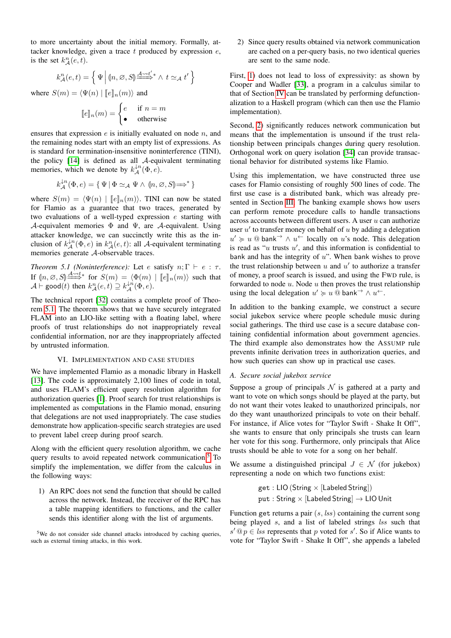to more uncertainty about the initial memory. Formally, attacker knowledge, given a trace  $t$  produced by expression  $e$ , is the set  $k_{\mathcal{A}}^{n}(e,t)$ .

$$
k_{\mathcal{A}}^{n}(e,t) = \left\{ \Psi \middle| (n, \emptyset, S) \stackrel{\underline{A} \leadsto t'}{\longrightarrow} \wedge t \simeq_{\mathcal{A}} t' \right\}
$$

where  $S(m) = \langle \Psi(n) | [e]_n(m) \rangle$  and

$$
[\![e]\!]_n(m) = \begin{cases} e & \text{if } n = m \\ \bullet & \text{otherwise} \end{cases}
$$

ensures that expression  $e$  is initially evaluated on node  $n$ , and the remaining nodes start with an empty list of expressions. As is standard for termination-insensitive noninterference (TINI), the policy [\[14\]](#page-15-4) is defined as all A-equivalent terminating memories, which we denote by  $k_{\mathcal{A}}^{\downarrow n}(\Phi, e)$ .

$$
k_{\mathcal{A}}^{\downarrow n}(\Phi, e) = \{ \Psi \mid \Phi \simeq_{\mathcal{A}} \Psi \wedge \langle n, \varnothing, S \rangle \Longrightarrow^* \}
$$

where  $S(m) = \langle \Psi(n) | [e]_n(m) \rangle$ . TINI can now be stated for Flamio as a guarantee that two traces, generated by two evaluations of a well-typed expression e starting with A-equivalent memories  $\Phi$  and  $\Psi$ , are A-equivalent. Using attacker knowledge, we can succinctly write this as the inclusion of  $k_{\mathcal{A}}^{\downarrow n}(\Phi, e)$  in  $k_{\mathcal{A}}^{n}(e, t)$ : all A-equivalent terminating memories generate A-observable traces.

<span id="page-12-1"></span>*Theorem 5.1 (Noninterference):* Let *e* satisfy  $n; \Gamma \vdash e : \tau$ . If  $(n, \emptyset, S] \stackrel{A \rightsquigarrow t}{\Longrightarrow}$  for  $S(m) = \langle \Phi(m) | [e]_n(m) \rangle$  such that  $A \vdash \mathsf{good}(t)$  then  $k_A^n(e, t) \supseteq k_A^{1/n}(\Phi, e)$ .

The technical report [\[32\]](#page-15-22) contains a complete proof of Theorem [5.1.](#page-12-1) The theorem shows that we have securely integrated FLAM into an LIO-like setting with a floating label, where proofs of trust relationships do not inappropriately reveal confidential information, nor are they inappropriately affected by untrusted information.

### VI. IMPLEMENTATION AND CASE STUDIES

<span id="page-12-0"></span>We have implemented Flamio as a monadic library in Haskell [\[13\]](#page-15-3). The code is approximately 2,100 lines of code in total, and uses FLAM's efficient query resolution algorithm for authorization queries [\[1\]](#page-14-1). Proof search for trust relationships is implemented as computations in the Flamio monad, ensuring that delegations are not used inappropriately. The case studies demonstrate how application-specific search strategies are used to prevent label creep during proof search.

Along with the efficient query resolution algorithm, we cache query results to avoid repeated network communication.<sup>[5](#page-12-2)</sup> To simplify the implementation, we differ from the calculus in the following ways:

<span id="page-12-3"></span>1) An RPC does not send the function that should be called across the network. Instead, the receiver of the RPC has a table mapping identifiers to functions, and the caller sends this identifier along with the list of arguments.

<span id="page-12-4"></span><span id="page-12-2"></span><sup>5</sup>We do not consider side channel attacks introduced by caching queries, such as external timing attacks, in this work.

2) Since query results obtained via network communication are cached on a per-query basis, no two identical queries are sent to the same node.

First, [1\)](#page-12-3) does not lead to loss of expressivity: as shown by Cooper and Wadler [\[33\]](#page-15-23), a program in a calculus similar to that of Section [IV](#page-4-0) can be translated by performing defunctionalization to a Haskell program (which can then use the Flamio implementation).

Second, [2\)](#page-12-4) significantly reduces network communication but means that the implementation is unsound if the trust relationship between principals changes during query resolution. Orthogonal work on query isolation [\[34\]](#page-15-24) can provide transactional behavior for distributed systems like Flamio.

Using this implementation, we have constructed three use cases for Flamio consisting of roughly 500 lines of code. The first use case is a distributed bank, which was already presented in Section [III.](#page-2-0) The banking example shows how users can perform remote procedure calls to handle transactions across accounts between different users. A user  $u$  can authorize user  $u'$  to transfer money on behalf of  $u$  by adding a delegation  $u' \geq u \otimes$  bank<sup>→</sup>  $\wedge u^{\leftarrow}$  locally on u's node. This delegation is read as " $u$  trusts  $u'$ , and this information is confidential to bank and has the integrity of  $u$ ". When bank wishes to prove the trust relationship between  $u$  and  $u'$  to authorize a transfer of money, a proof search is issued, and using the FWD rule, is forwarded to node  $u$ . Node  $u$  then proves the trust relationship using the local delegation  $u' \geq u \stackrel{\frown}{\otimes}$  bank<sup>→</sup>  $\wedge u^+$ .

In addition to the banking example, we construct a secure social jukebox service where people schedule music during social gatherings. The third use case is a secure database containing confidential information about government agencies. The third example also demonstrates how the ASSUMP rule prevents infinite derivation trees in authorization queries, and how such queries can show up in practical use cases.

### *A. Secure social jukebox service*

Suppose a group of principals  $\mathcal N$  is gathered at a party and want to vote on which songs should be played at the party, but do not want their votes leaked to unauthorized principals, nor do they want unauthorized principals to vote on their behalf. For instance, if Alice votes for "Taylor Swift - Shake It Off", she wants to ensure that only principals she trusts can learn her vote for this song. Furthermore, only principals that Alice trusts should be able to vote for a song on her behalf.

We assume a distinguished principal  $J \in \mathcal{N}$  (for jukebox) representing a node on which two functions exist:

$$
\begin{aligned} \text{get}: \text{LIO (String} \times [\text{Labeled String}]) \\ \text{put}: \text{String} \times [\text{Labeled String}] \rightarrow \text{LIO Unit} \end{aligned}
$$

Function get returns a pair  $(s, lss)$  containing the current song being played s, and a list of labeled strings lss such that  $s' \t{a} p \in \text{lss}$  represents that p voted for s'. So if Alice wants to vote for "Taylor Swift - Shake It Off", she appends a labeled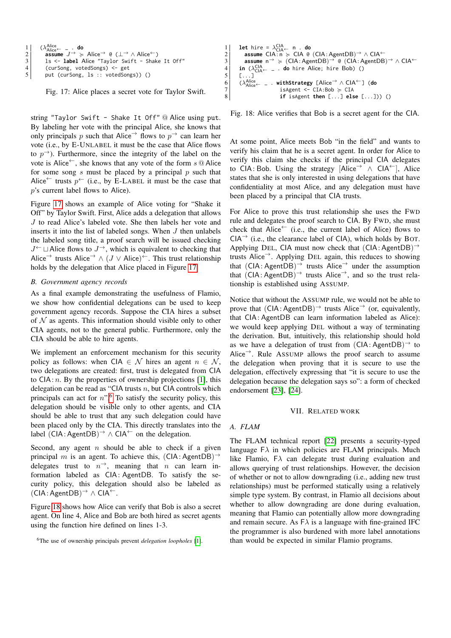```
1 (\lambda_{\text{Alice}}^{\text{Alice}}\begin{array}{ll} 1 & (\lambda_{\textrm{Alice}}^{\textrm{Alice}} - \;\cdot\; \textbf{do} \ 2 & \quad \textrm{assume} \;\; J^{\rightarrow} \;\succcurlyeq \;\text{Alice}^{\rightarrow} \;\; @\; (\bot^{\rightarrow} \wedge \textrm{Alice}^{\leftarrow}) \end{array}3 ls <- label Alice "Taylor Swift - Shake It Off"
4 (curSong, votedSongs) <- get<br>
5 put (curSong, 1s :: votedSong
                 put (curSong, ls :: votedSongs)) ()
```
Fig. 17: Alice places a secret vote for Taylor Swift.

string "Taylor Swift - Shake It Off" @ Alice using put. By labeling her vote with the principal Alice, she knows that only principals p such that Alice  $\rightarrow$  flows to  $p\rightarrow$  can learn her vote (i.e., by E-UNLABEL it must be the case that Alice flows to  $p\rightarrow$ ). Furthermore, since the integrity of the label on the vote is Alice<sup>←</sup>, she knows that any vote of the form  $s \tQ$  Alice for some song s must be placed by a principal  $p$  such that Alice<sup>←</sup> trusts  $p^{\leftarrow}$  (i.e., by E-LABEL it must be the case that p's current label flows to Alice).

Figure [17](#page-13-2) shows an example of Alice voting for "Shake it Off" by Taylor Swift. First, Alice adds a delegation that allows J to read Alice's labeled vote. She then labels her vote and inserts it into the list of labeled songs. When  $J$  then unlabels the labeled song title, a proof search will be issued checking  $J^{\leftarrow}$   $\sqcup$  Alice flows to  $J^{\rightarrow}$ , which is equivalent to checking that Alice<sup>→</sup> trusts Alice<sup>→</sup>  $\land$  (*J*  $\lor$  Alice)<sup>←</sup>. This trust relationship holds by the delegation that Alice placed in Figure [17.](#page-13-2)

#### <span id="page-13-1"></span>*B. Government agency records*

As a final example demonstrating the usefulness of Flamio, we show how confidential delegations can be used to keep government agency records. Suppose the CIA hires a subset of  $N$  as agents. This information should visible only to other CIA agents, not to the general public. Furthermore, only the CIA should be able to hire agents.

We implement an enforcement mechanism for this security policy as follows: when CIA  $\in \mathcal{N}$  hires an agent  $n \in \mathcal{N}$ , two delegations are created: first, trust is delegated from CIA to  $CIA: n$ . By the properties of ownership projections [\[1\]](#page-14-1), this delegation can be read as "CIA trusts  $n$ , but CIA controls which principals can act for  $n$ ".<sup>[6](#page-13-3)</sup> To satisfy the security policy, this delegation should be visible only to other agents, and CIA should be able to trust that any such delegation could have been placed only by the CIA. This directly translates into the label  $(CIA:AgentDB)^{\rightarrow} \wedge CIA^{\leftarrow}$  on the delegation.

Second, any agent  $n$  should be able to check if a given principal m is an agent. To achieve this,  $(CIA: AgentDB)^{\rightarrow}$ delegates trust to  $n^{\rightarrow}$ , meaning that n can learn information labeled as CIA: AgentDB. To satisfy the security policy, this delegation should also be labeled as  $(CIA: AgentDB)^{\rightarrow} \wedge CIA^{\leftarrow}.$ 

Figure [18](#page-13-4) shows how Alice can verify that Bob is also a secret agent. On line 4, Alice and Bob are both hired as secret agents using the function hire defined on lines 1-3.

<span id="page-13-4"></span>

Fig. 18: Alice verifies that Bob is a secret agent for the CIA.

At some point, Alice meets Bob "in the field" and wants to verify his claim that he is a secret agent. In order for Alice to verify this claim she checks if the principal CIA delegates to CIA: Bob. Using the strategy  $[Alice^{\rightarrow} \wedge CIA^{\leftarrow}],$  Alice states that she is only interested in using delegations that have confidentiality at most Alice, and any delegation must have been placed by a principal that CIA trusts.

For Alice to prove this trust relationship she uses the FWD rule and delegates the proof search to CIA. By FWD, she must check that Alice<sup>←</sup> (i.e., the current label of Alice) flows to  $CIA^{\rightarrow}$  (i.e., the clearance label of CIA), which holds by BOT. Applying DEL, CIA must now check that  $(CIA: AgentDB)^{\rightarrow}$ trusts Alice<sup>→</sup>. Applying DEL again, this reduces to showing that  $(CIA: AgentDB)^{\rightarrow}$  trusts Alice<sup>→</sup> under the assumption that  $(CIA: AgentDB)^{\rightarrow}$  trusts Alice<sup>→</sup>, and so the trust relationship is established using ASSUMP.

Notice that without the ASSUMP rule, we would not be able to prove that  $(CIA:AgentDB)^{\rightharpoonup}$  trusts Alice<sup>→</sup> (or, equivalently, that CIA: AgentDB can learn information labeled as Alice): we would keep applying DEL without a way of terminating the derivation. But, intuitively, this relationship should hold as we have a delegation of trust from  $(CIA: AgentDB)^{\rightarrow}$  to Alice<sup>→</sup>. Rule ASSUMP allows the proof search to assume the delegation when proving that it is secure to use the delegation, effectively expressing that "it is secure to use the delegation because the delegation says so": a form of checked endorsement [\[23\]](#page-15-12), [\[24\]](#page-15-13).

#### VII. RELATED WORK

# <span id="page-13-0"></span>*A. FLAM*

The FLAM technical report [\[22\]](#page-15-14) presents a security-typed language  $F\lambda$  in which policies are FLAM principals. Much like Flamio,  $\mathsf{F}\lambda$  can delegate trust during evaluation and allows querying of trust relationships. However, the decision of whether or not to allow downgrading (i.e., adding new trust relationships) must be performed statically using a relatively simple type system. By contrast, in Flamio all decisions about whether to allow downgrading are done during evaluation, meaning that Flamio can potentially allow more downgrading and remain secure. As  $FA$  is a language with fine-grained IFC the programmer is also burdened with more label annotations than would be expected in similar Flamio programs.

<span id="page-13-3"></span><sup>6</sup>The use of ownership principals prevent *delegation loopholes* [\[1\]](#page-14-1).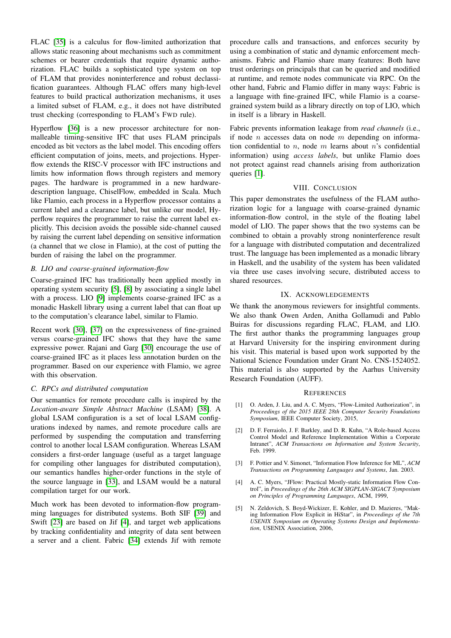FLAC [\[35\]](#page-15-25) is a calculus for flow-limited authorization that allows static reasoning about mechanisms such as commitment schemes or bearer credentials that require dynamic authorization. FLAC builds a sophisticated type system on top of FLAM that provides noninterference and robust declassification guarantees. Although FLAC offers many high-level features to build practical authorization mechanisms, it uses a limited subset of FLAM, e.g., it does not have distributed trust checking (corresponding to FLAM's FWD rule).

Hyperflow [\[36\]](#page-15-26) is a new processor architecture for nonmalleable timing-sensitive IFC that uses FLAM principals encoded as bit vectors as the label model. This encoding offers efficient computation of joins, meets, and projections. Hyperflow extends the RISC-V processor with IFC instructions and limits how information flows through registers and memory pages. The hardware is programmed in a new hardwaredescription language, ChiselFlow, embedded in Scala. Much like Flamio, each process in a Hyperflow processor contains a current label and a clearance label, but unlike our model, Hyperflow requires the programmer to raise the current label explicitly. This decision avoids the possible side-channel caused by raising the current label depending on sensitive information (a channel that we close in Flamio), at the cost of putting the burden of raising the label on the programmer.

# *B. LIO and coarse-grained information-flow*

Coarse-grained IFC has traditionally been applied mostly in operating system security [\[5\]](#page-14-4), [\[8\]](#page-15-0) by associating a single label with a process. LIO [\[9\]](#page-15-1) implements coarse-grained IFC as a monadic Haskell library using a current label that can float up to the computation's clearance label, similar to Flamio.

Recent work [\[30\]](#page-15-20), [\[37\]](#page-15-27) on the expressiveness of fine-grained versus coarse-grained IFC shows that they have the same expressive power. Rajani and Garg [\[30\]](#page-15-20) encourage the use of coarse-grained IFC as it places less annotation burden on the programmer. Based on our experience with Flamio, we agree with this observation.

### *C. RPCs and distributed computation*

Our semantics for remote procedure calls is inspired by the *Location-aware Simple Abstract Machine* (LSAM) [\[38\]](#page-15-28). A global LSAM configuration is a set of local LSAM configurations indexed by names, and remote procedure calls are performed by suspending the computation and transferring control to another local LSAM configuration. Whereas LSAM considers a first-order language (useful as a target language for compiling other languages for distributed computation), our semantics handles higher-order functions in the style of the source language in [\[33\]](#page-15-23), and LSAM would be a natural compilation target for our work.

Much work has been devoted to information-flow programming languages for distributed systems. Both SIF [\[39\]](#page-15-29) and Swift [\[23\]](#page-15-12) are based on Jif [\[4\]](#page-14-3), and target web applications by tracking confidentiality and integrity of data sent between a server and a client. Fabric [\[34\]](#page-15-24) extends Jif with remote

procedure calls and transactions, and enforces security by using a combination of static and dynamic enforcement mechanisms. Fabric and Flamio share many features: Both have trust orderings on principals that can be queried and modified at runtime, and remote nodes communicate via RPC. On the other hand, Fabric and Flamio differ in many ways: Fabric is a language with fine-grained IFC, while Flamio is a coarsegrained system build as a library directly on top of LIO, which in itself is a library in Haskell.

Fabric prevents information leakage from *read channels* (i.e., if node *n* accesses data on node *m* depending on information confidential to  $n$ , node  $m$  learns about  $n$ 's confidential information) using *access labels*, but unlike Flamio does not protect against read channels arising from authorization queries [\[1\]](#page-14-1).

# VIII. CONCLUSION

<span id="page-14-5"></span>This paper demonstrates the usefulness of the FLAM authorization logic for a language with coarse-grained dynamic information-flow control, in the style of the floating label model of LIO. The paper shows that the two systems can be combined to obtain a provably strong noninterference result for a language with distributed computation and decentralized trust. The language has been implemented as a monadic library in Haskell, and the usability of the system has been validated via three use cases involving secure, distributed access to shared resources.

#### IX. ACKNOWLEDGEMENTS

We thank the anonymous reviewers for insightful comments. We also thank Owen Arden, Anitha Gollamudi and Pablo Buiras for discussions regarding FLAC, FLAM, and LIO. The first author thanks the programming languages group at Harvard University for the inspiring environment during his visit. This material is based upon work supported by the National Science Foundation under Grant No. CNS-1524052. This material is also supported by the Aarhus University Research Foundation (AUFF).

#### **REFERENCES**

- <span id="page-14-1"></span>[1] O. Arden, J. Liu, and A. C. Myers, "Flow-Limited Authorization", in *Proceedings of the 2015 IEEE 28th Computer Security Foundations Symposium*, IEEE Computer Society, 2015,
- <span id="page-14-0"></span>[2] D. F. Ferraiolo, J. F. Barkley, and D. R. Kuhn, "A Role-based Access Control Model and Reference Implementation Within a Corporate Intranet", *ACM Transactions on Information and System Security*, Feb. 1999.
- <span id="page-14-2"></span>[3] F. Pottier and V. Simonet, "Information Flow Inference for ML", *ACM Transactions on Programming Languages and Systems*, Jan. 2003.
- <span id="page-14-3"></span>[4] A. C. Myers, "JFlow: Practical Mostly-static Information Flow Control", in *Proceedings of the 26th ACM SIGPLAN-SIGACT Symposium on Principles of Programming Languages*, ACM, 1999,
- <span id="page-14-4"></span>[5] N. Zeldovich, S. Boyd-Wickizer, E. Kohler, and D. Mazieres, "Making Information Flow Explicit in HiStar", in *Proceedings of the 7th USENIX Symposium on Operating Systems Design and Implementation*, USENIX Association, 2006,